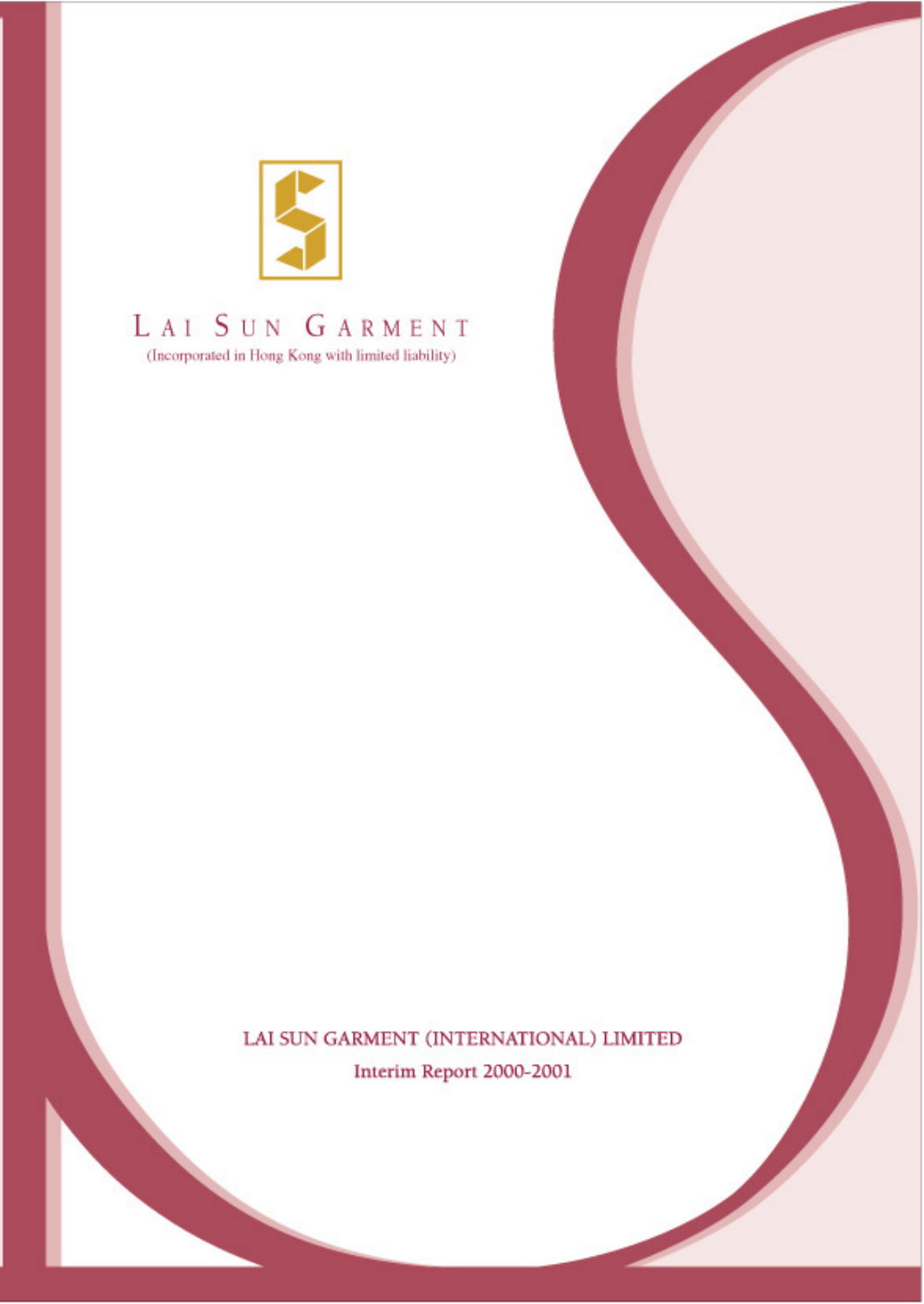

# LAI SUN GARMENT

(Incorporated in Hong Kong with limited liability)

LAI SUN GARMENT (INTERNATIONAL) LIMITED Interim Report 2000-2001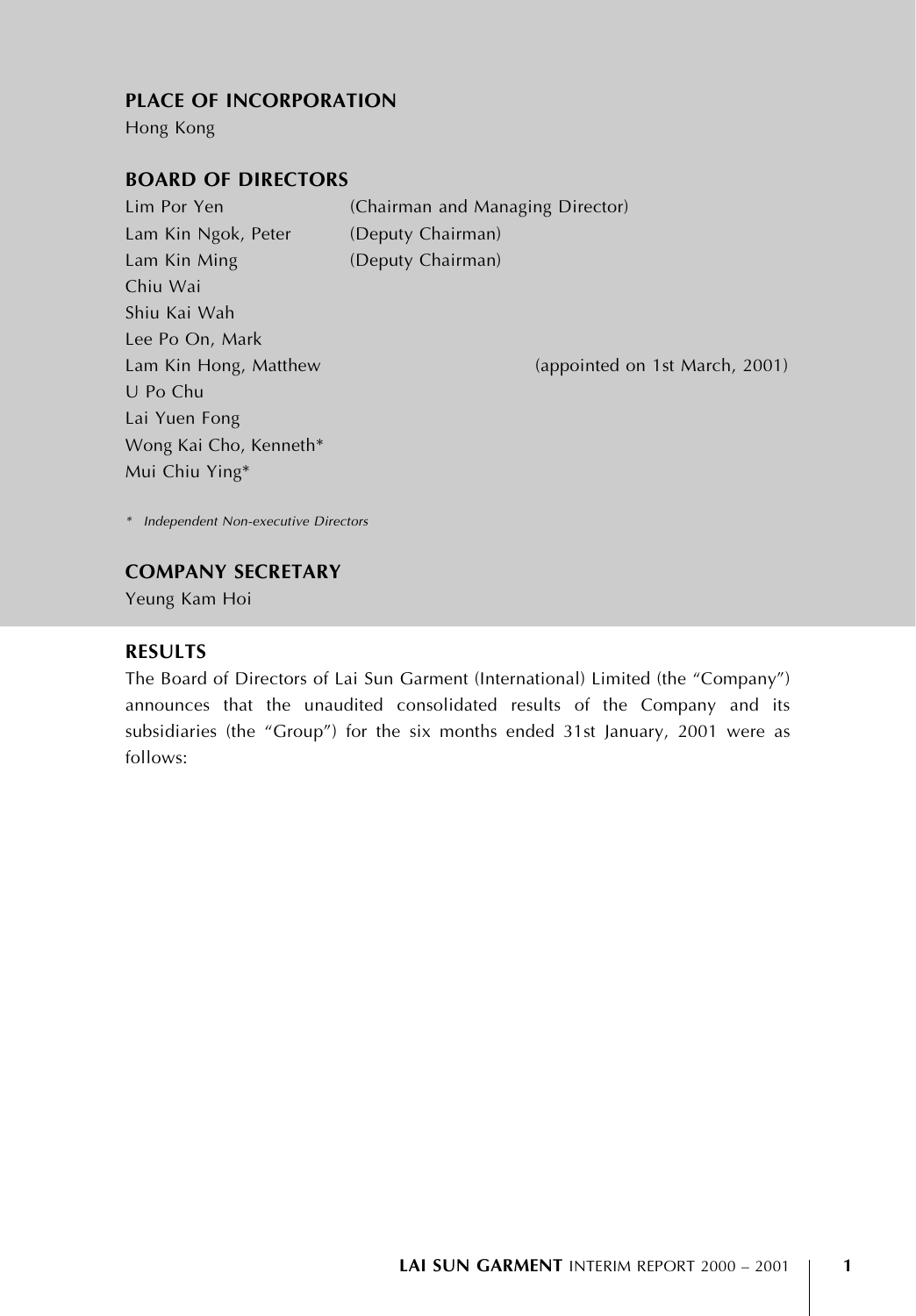### PLACE OF INCORPORATION

Hong Kong

### **BOARD OF DIRECTORS**

Lim Por Yen (Chairman and Managing Director) Lam Kin Ngok, Peter (Deputy Chairman) Lam Kin Ming (Deputy Chairman) Chiu Wai Shin Kai Wah Lee Po On, Mark Lam Kin Hong, Matthew U Po Chu Lai Yuen Fong Wong Kai Cho, Kenneth\* Mui Chiu Ying\*

(appointed on 1st March, 2001)

\* Independent Non-executive Directors

### **COMPANY SECRETARY**

Yeung Kam Hoi

### **RESULTS**

The Board of Directors of Lai Sun Garment (International) Limited (the "Company") announces that the unaudited consolidated results of the Company and its subsidiaries (the "Group") for the six months ended 31st January, 2001 were as follows:

 $\mathbf{1}$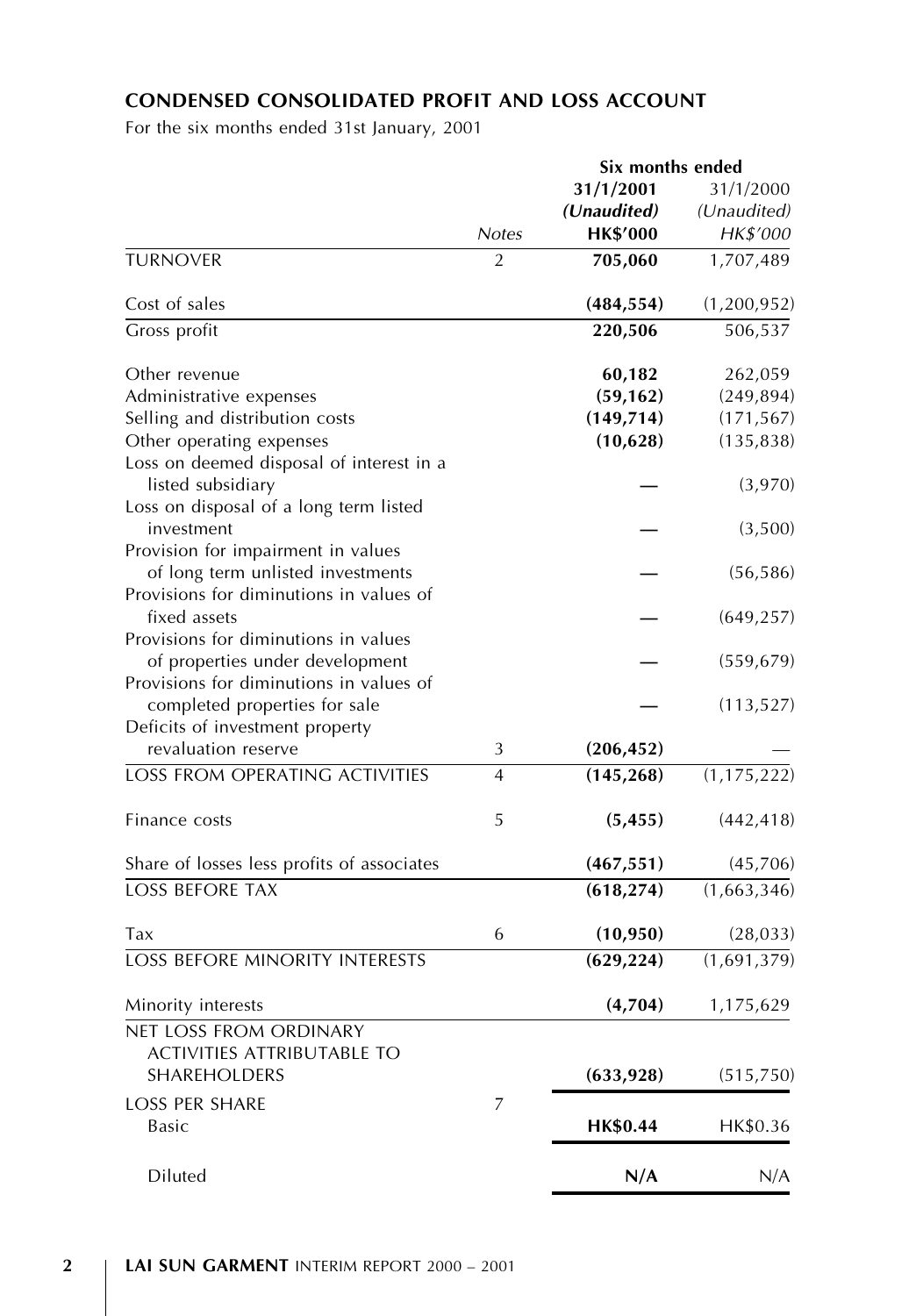# CONDENSED CONSOLIDATED PROFIT AND LOSS ACCOUNT

For the six months ended 31st January, 2001

|                                                                                            |                | Six months ended |               |
|--------------------------------------------------------------------------------------------|----------------|------------------|---------------|
|                                                                                            |                | 31/1/2001        | 31/1/2000     |
|                                                                                            |                | (Unaudited)      | (Unaudited)   |
|                                                                                            | Notes          | <b>HK\$'000</b>  | HK\$'000      |
| <b>TURNOVER</b>                                                                            | 2              | 705,060          | 1,707,489     |
| Cost of sales                                                                              |                | (484, 554)       | (1,200,952)   |
| Gross profit                                                                               |                | 220,506          | 506,537       |
| Other revenue                                                                              |                | 60,182           | 262,059       |
| Administrative expenses                                                                    |                | (59, 162)        | (249, 894)    |
| Selling and distribution costs                                                             |                | (149, 714)       | (171, 567)    |
| Other operating expenses                                                                   |                | (10,628)         | (135, 838)    |
| Loss on deemed disposal of interest in a<br>listed subsidiary                              |                |                  | (3,970)       |
| Loss on disposal of a long term listed<br>investment<br>Provision for impairment in values |                |                  | (3,500)       |
| of long term unlisted investments<br>Provisions for diminutions in values of               |                |                  | (56, 586)     |
| fixed assets                                                                               |                |                  | (649, 257)    |
| Provisions for diminutions in values<br>of properties under development                    |                |                  | (559, 679)    |
| Provisions for diminutions in values of<br>completed properties for sale                   |                |                  | (113, 527)    |
| Deficits of investment property                                                            |                |                  |               |
| revaluation reserve                                                                        | 3              | (206, 452)       |               |
| LOSS FROM OPERATING ACTIVITIES                                                             | $\overline{4}$ | (145, 268)       | (1, 175, 222) |
| Finance costs                                                                              | 5              | (5, 455)         | (442, 418)    |
| Share of losses less profits of associates                                                 |                | (467, 551)       | (45,706)      |
| <b>LOSS BEFORE TAX</b>                                                                     |                | (618, 274)       | (1,663,346)   |
| Tax                                                                                        | 6              | (10, 950)        | (28, 033)     |
| <b>LOSS BEFORE MINORITY INTERESTS</b>                                                      |                | (629, 224)       | (1,691,379)   |
| Minority interests                                                                         |                | (4,704)          | 1,175,629     |
| NET LOSS FROM ORDINARY                                                                     |                |                  |               |
| ACTIVITIES ATTRIBUTABLE TO                                                                 |                |                  |               |
| SHAREHOLDERS                                                                               |                | (633, 928)       | (515, 750)    |
| <b>LOSS PER SHARE</b>                                                                      | 7              |                  |               |
| Basic                                                                                      |                | <b>HK\$0.44</b>  | HK\$0.36      |
| Diluted                                                                                    |                | N/A              | N/A           |

 $\overline{2}$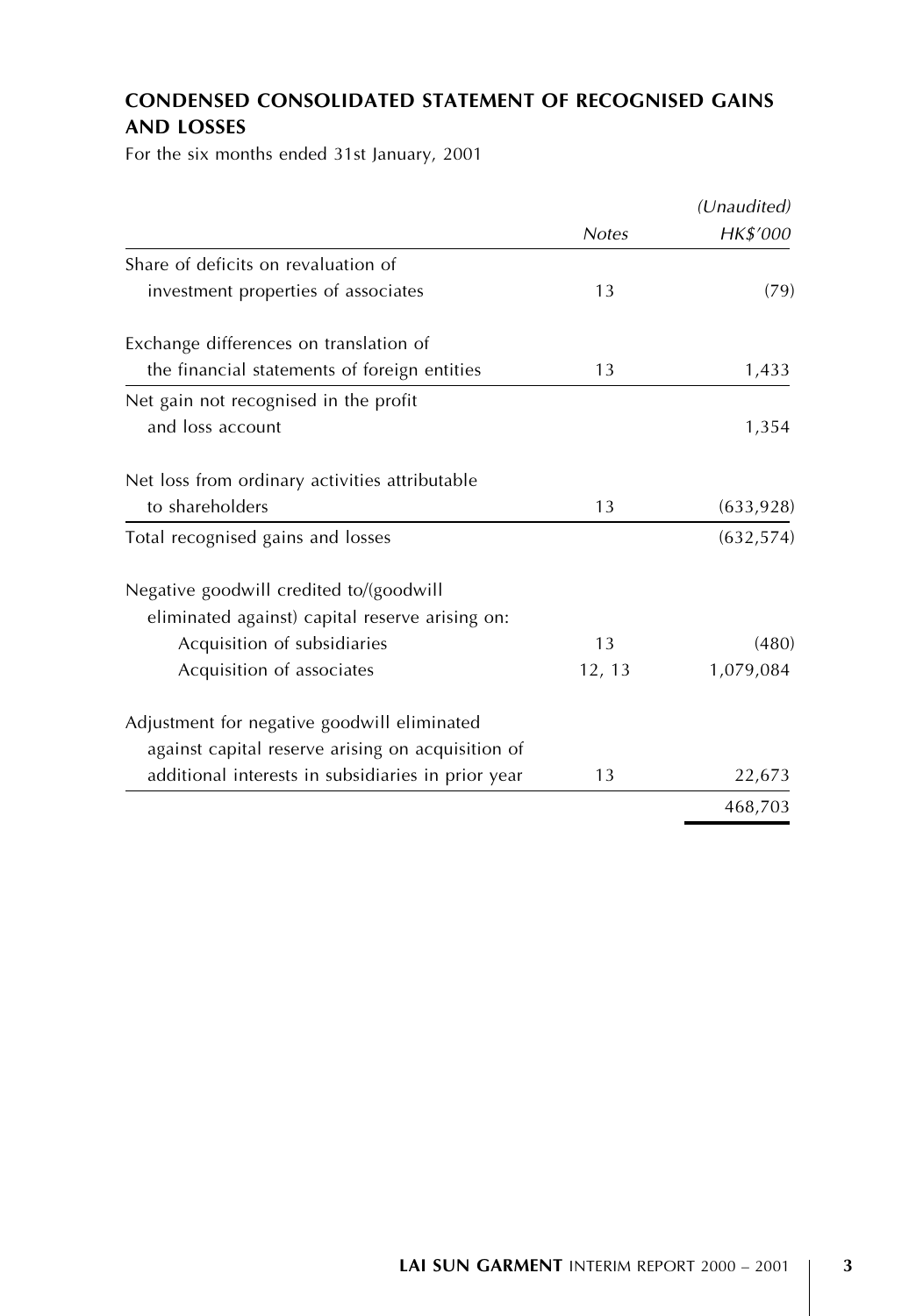# **CONDENSED CONSOLIDATED STATEMENT OF RECOGNISED GAINS AND LOSSES**

For the six months ended 31st January, 2001

|                                                    |              | (Unaudited) |
|----------------------------------------------------|--------------|-------------|
|                                                    | <b>Notes</b> | HK\$'000    |
| Share of deficits on revaluation of                |              |             |
| investment properties of associates                | 13           | (79)        |
| Exchange differences on translation of             |              |             |
| the financial statements of foreign entities       | 13           | 1,433       |
| Net gain not recognised in the profit              |              |             |
| and loss account                                   |              | 1,354       |
| Net loss from ordinary activities attributable     |              |             |
| to shareholders                                    | 13           | (633, 928)  |
| Total recognised gains and losses                  |              | (632, 574)  |
| Negative goodwill credited to/(goodwill            |              |             |
| eliminated against) capital reserve arising on:    |              |             |
| Acquisition of subsidiaries                        | 13           | (480)       |
| Acquisition of associates                          | 12, 13       | 1,079,084   |
| Adjustment for negative goodwill eliminated        |              |             |
| against capital reserve arising on acquisition of  |              |             |
| additional interests in subsidiaries in prior year | 13           | 22,673      |
|                                                    |              | 468,703     |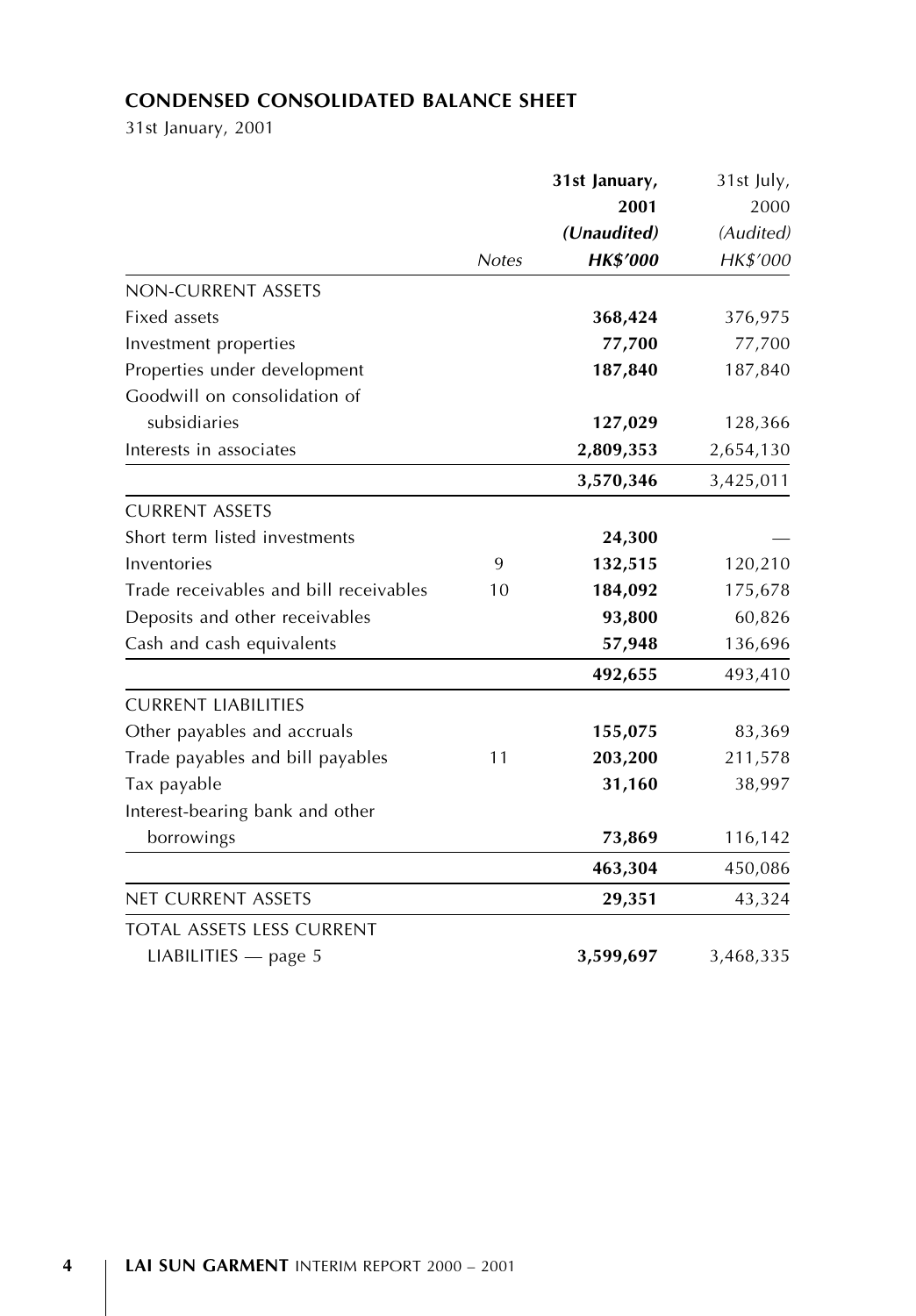# **CONDENSED CONSOLIDATED BALANCE SHEET**

31st January, 2001

|                                        |              | 31st January,   | 31st July, |
|----------------------------------------|--------------|-----------------|------------|
|                                        |              | 2001            | 2000       |
|                                        |              | (Unaudited)     | (Audited)  |
|                                        | <b>Notes</b> | <b>HK\$'000</b> | HK\$'000   |
| <b>NON-CURRENT ASSETS</b>              |              |                 |            |
| Fixed assets                           |              | 368,424         | 376,975    |
| Investment properties                  |              | 77,700          | 77,700     |
| Properties under development           |              | 187,840         | 187,840    |
| Goodwill on consolidation of           |              |                 |            |
| subsidiaries                           |              | 127,029         | 128,366    |
| Interests in associates                |              | 2,809,353       | 2,654,130  |
|                                        |              | 3,570,346       | 3,425,011  |
| <b>CURRENT ASSETS</b>                  |              |                 |            |
| Short term listed investments          |              | 24,300          |            |
| Inventories                            | 9            | 132,515         | 120,210    |
| Trade receivables and bill receivables | 10           | 184,092         | 175,678    |
| Deposits and other receivables         |              | 93,800          | 60,826     |
| Cash and cash equivalents              |              | 57,948          | 136,696    |
|                                        |              | 492,655         | 493,410    |
| <b>CURRENT LIABILITIES</b>             |              |                 |            |
| Other payables and accruals            |              | 155,075         | 83,369     |
| Trade payables and bill payables       | 11           | 203,200         | 211,578    |
| Tax payable                            |              | 31,160          | 38,997     |
| Interest-bearing bank and other        |              |                 |            |
| borrowings                             |              | 73,869          | 116,142    |
|                                        |              | 463,304         | 450,086    |
| NET CURRENT ASSETS                     |              | 29,351          | 43,324     |
| total assets less current              |              |                 |            |
| $LIABILITIES$ — page 5                 |              | 3,599,697       | 3,468,335  |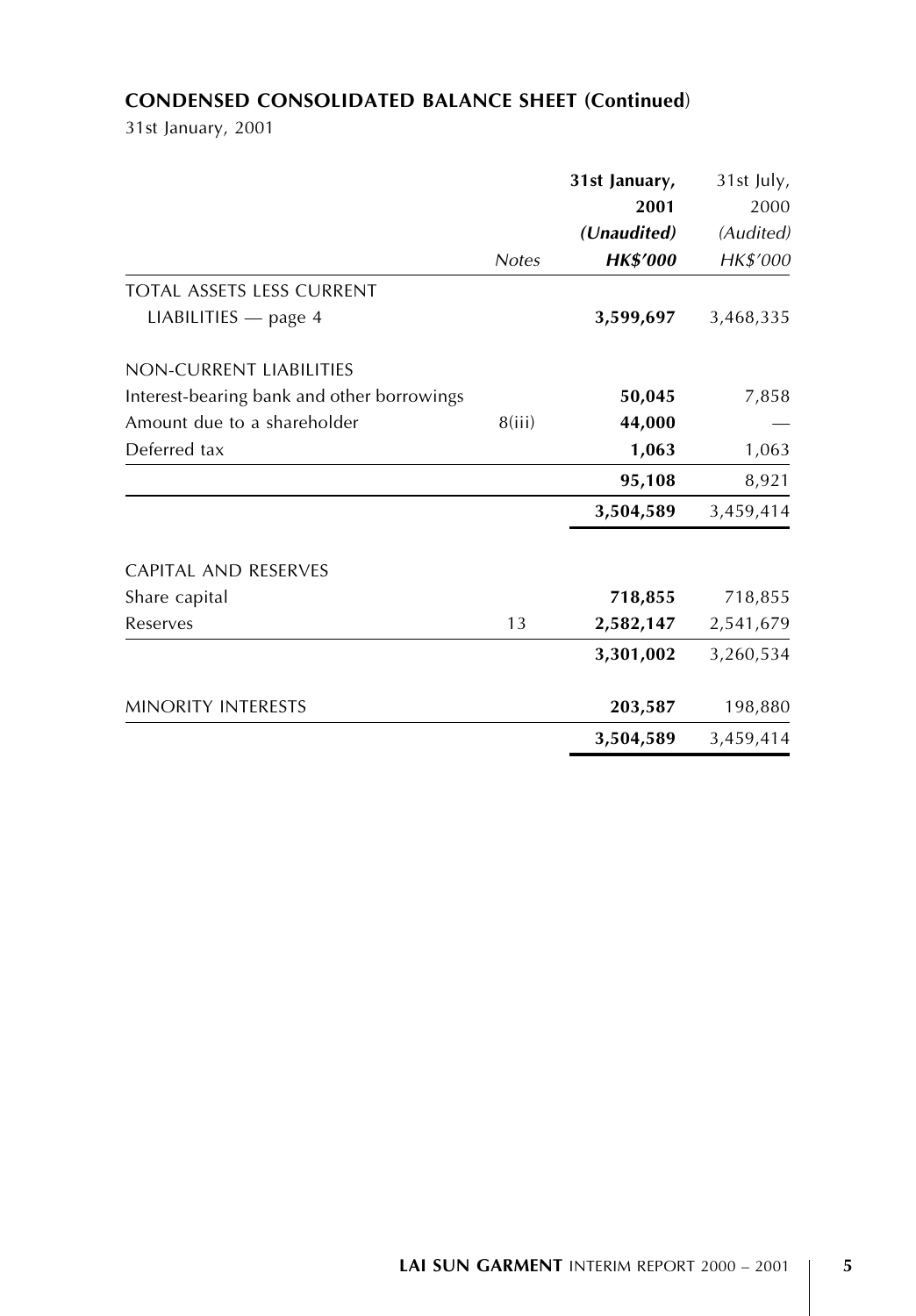# **CONDENSED CONSOLIDATED BALANCE SHEET (Continued)**

31st January, 2001

|                                            |              | 31st January,   | 31st July, |
|--------------------------------------------|--------------|-----------------|------------|
|                                            |              | 2001            | 2000       |
|                                            |              | (Unaudited)     | (Audited)  |
|                                            | <b>Notes</b> | <b>HK\$'000</b> | HK\$'000   |
| TOTAL ASSETS LESS CURRENT                  |              |                 |            |
| $LIABILITIES$ — page 4                     |              | 3,599,697       | 3,468,335  |
| NON-CURRENT LIABILITIES                    |              |                 |            |
| Interest-bearing bank and other borrowings |              | 50,045          | 7,858      |
| Amount due to a shareholder                | 8(iii)       | 44,000          |            |
| Deferred tax                               |              | 1,063           | 1,063      |
|                                            |              | 95,108          | 8,921      |
|                                            |              | 3,504,589       | 3,459,414  |
| <b>CAPITAL AND RESERVES</b>                |              |                 |            |
| Share capital                              |              | 718,855         | 718,855    |
| Reserves                                   | 13           | 2,582,147       | 2,541,679  |
|                                            |              | 3,301,002       | 3,260,534  |
| MINORITY INTERESTS                         |              | 203,587         | 198,880    |
|                                            |              | 3,504,589       | 3,459,414  |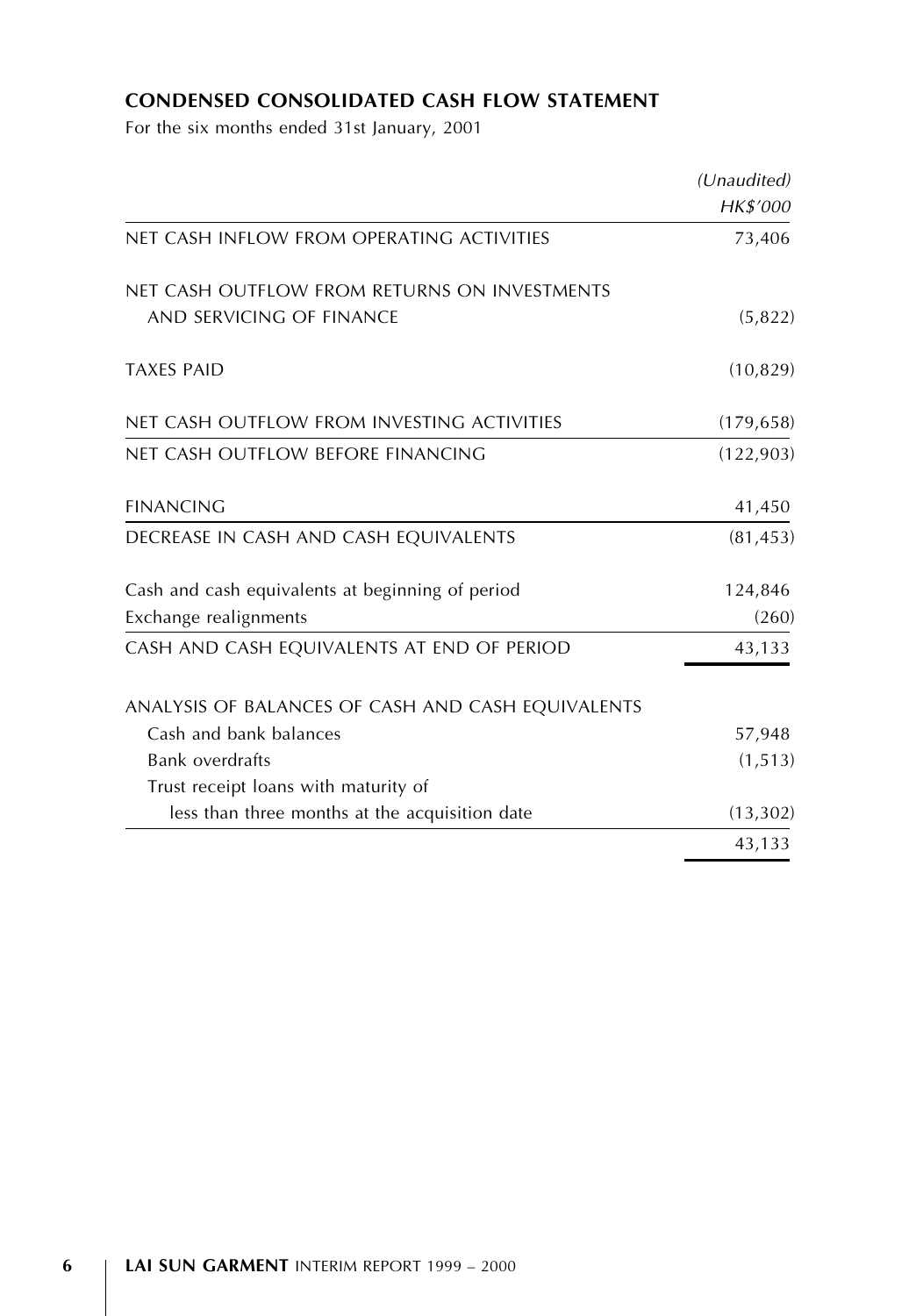# **CONDENSED CONSOLIDATED CASH FLOW STATEMENT**

For the six months ended 31st January, 2001

|                                                   | (Unaudited) |
|---------------------------------------------------|-------------|
|                                                   | HK\$'000    |
| NET CASH INFLOW FROM OPERATING ACTIVITIES         | 73,406      |
| NET CASH OUTFLOW FROM RETURNS ON INVESTMENTS      |             |
| AND SERVICING OF FINANCE                          | (5,822)     |
| <b>TAXES PAID</b>                                 | (10, 829)   |
| NET CASH OUTELOW FROM INVESTING ACTIVITIES        | (179, 658)  |
| NET CASH OUTFLOW BEFORE FINANCING                 | (122, 903)  |
| <b>FINANCING</b>                                  | 41,450      |
| DECREASE IN CASH AND CASH EQUIVALENTS             | (81, 453)   |
| Cash and cash equivalents at beginning of period  | 124,846     |
| Exchange realignments                             | (260)       |
| CASH AND CASH EQUIVALENTS AT END OF PERIOD        | 43,133      |
| ANALYSIS OF BALANCES OF CASH AND CASH EQUIVALENTS |             |
| Cash and bank balances                            | 57,948      |
| <b>Bank overdrafts</b>                            | (1, 513)    |
| Trust receipt loans with maturity of              |             |
| less than three months at the acquisition date    | (13, 302)   |
|                                                   | 43,133      |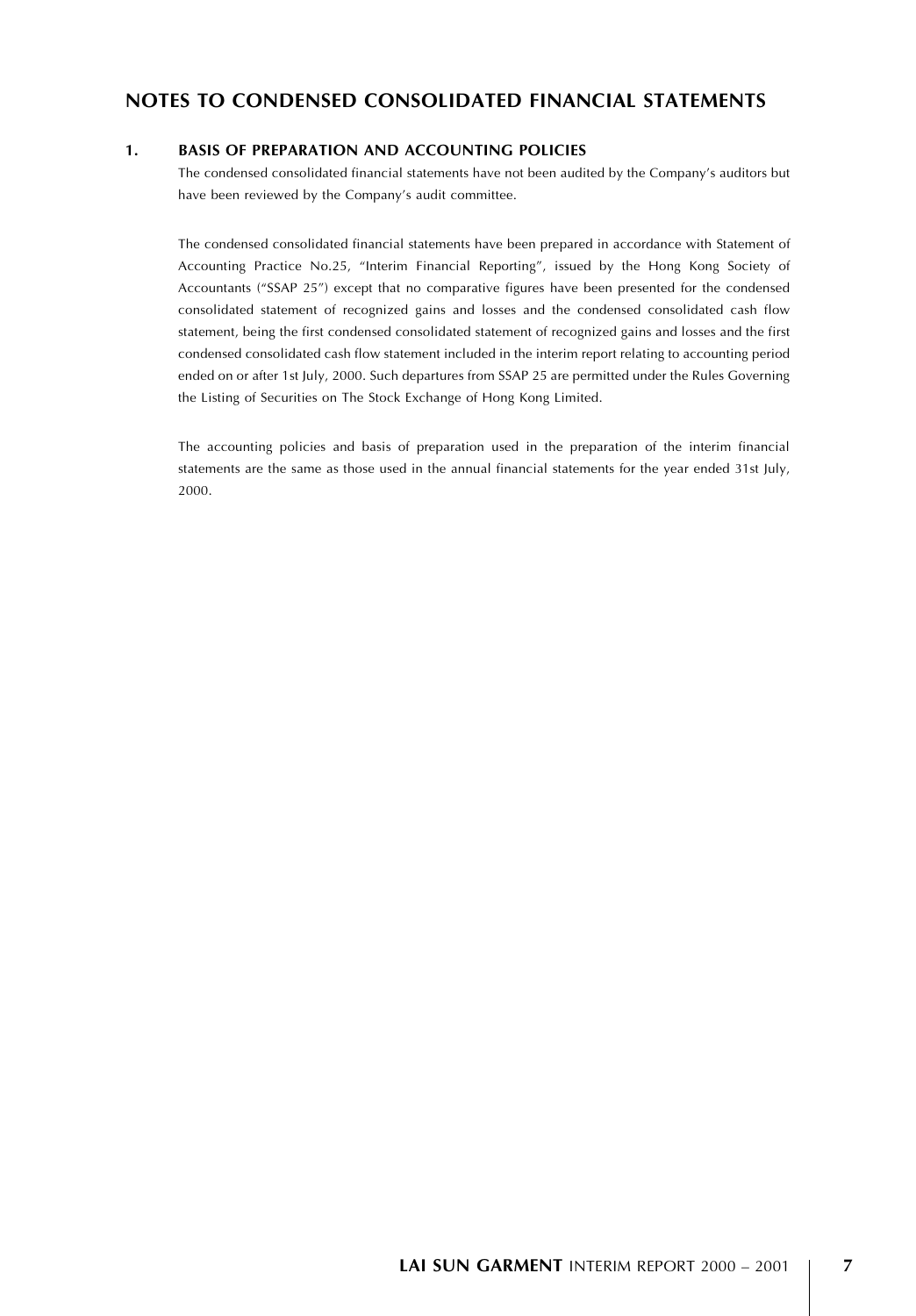### NOTES TO CONDENSED CONSOLIDATED FINANCIAL STATEMENTS

#### $\mathbf{1}$ **RASIS OF PREPARATION AND ACCOUNTING POLICIES**

The condensed consolidated financial statements have not been audited by the Company's auditors but have been reviewed by the Company's audit committee.

The condensed consolidated financial statements have been prepared in accordance with Statement of Accounting Practice No.25, "Interim Financial Reporting", issued by the Hong Kong Society of Accountants ("SSAP 25") except that no comparative figures have been presented for the condensed consolidated statement of recognized gains and losses and the condensed consolidated cash flow statement, being the first condensed consolidated statement of recognized gains and losses and the first condensed consolidated cash flow statement included in the interim report relating to accounting period ended on or after 1st July, 2000. Such departures from SSAP 25 are permitted under the Rules Governing the Listing of Securities on The Stock Exchange of Hong Kong Limited.

The accounting policies and basis of preparation used in the preparation of the interim financial statements are the same as those used in the annual financial statements for the year ended 31st July. 2000.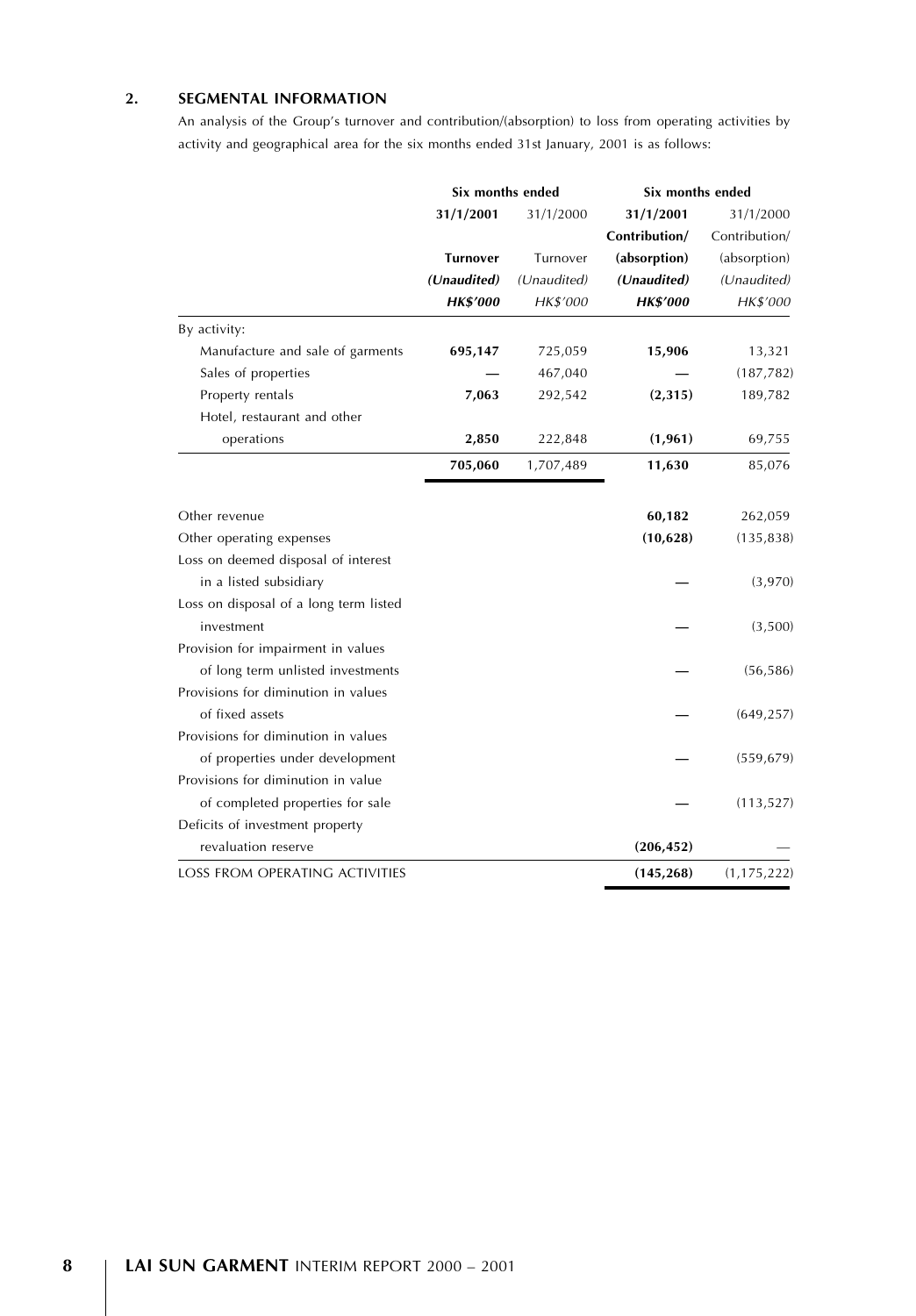#### $2.$ **SEGMENTAL INFORMATION**

An analysis of the Group's turnover and contribution/(absorption) to loss from operating activities by activity and geographical area for the six months ended 31st January, 2001 is as follows:

|                                        |                 | Six months ended<br>Six months ended |                 |               |
|----------------------------------------|-----------------|--------------------------------------|-----------------|---------------|
|                                        | 31/1/2001       | 31/1/2000                            | 31/1/2001       | 31/1/2000     |
|                                        |                 |                                      | Contribution/   | Contribution/ |
|                                        | Turnover        | Turnover                             | (absorption)    | (absorption)  |
|                                        | (Unaudited)     | (Unaudited)                          | (Unaudited)     | (Unaudited)   |
|                                        | <b>HK\$'000</b> | HK\$'000                             | <b>HK\$'000</b> | HK\$'000      |
| By activity:                           |                 |                                      |                 |               |
| Manufacture and sale of garments       | 695,147         | 725,059                              | 15,906          | 13,321        |
| Sales of properties                    |                 | 467,040                              |                 | (187, 782)    |
| Property rentals                       | 7,063           | 292,542                              | (2, 315)        | 189,782       |
| Hotel, restaurant and other            |                 |                                      |                 |               |
| operations                             | 2,850           | 222,848                              | (1, 961)        | 69,755        |
|                                        | 705,060         | 1,707,489                            | 11,630          | 85,076        |
|                                        |                 |                                      |                 |               |
| Other revenue                          |                 |                                      | 60,182          | 262,059       |
| Other operating expenses               |                 |                                      | (10,628)        | (135, 838)    |
| Loss on deemed disposal of interest    |                 |                                      |                 |               |
| in a listed subsidiary                 |                 |                                      |                 | (3,970)       |
| Loss on disposal of a long term listed |                 |                                      |                 |               |
| investment                             |                 |                                      |                 | (3,500)       |
| Provision for impairment in values     |                 |                                      |                 |               |
| of long term unlisted investments      |                 |                                      |                 | (56, 586)     |
| Provisions for diminution in values    |                 |                                      |                 |               |
| of fixed assets                        |                 |                                      |                 | (649, 257)    |
| Provisions for diminution in values    |                 |                                      |                 |               |
| of properties under development        |                 |                                      |                 | (559, 679)    |
| Provisions for diminution in value     |                 |                                      |                 |               |
| of completed properties for sale       |                 |                                      |                 | (113, 527)    |
| Deficits of investment property        |                 |                                      |                 |               |
| revaluation reserve                    |                 |                                      | (206, 452)      |               |
| <b>LOSS FROM OPERATING ACTIVITIES</b>  |                 |                                      | (145, 268)      | (1, 175, 222) |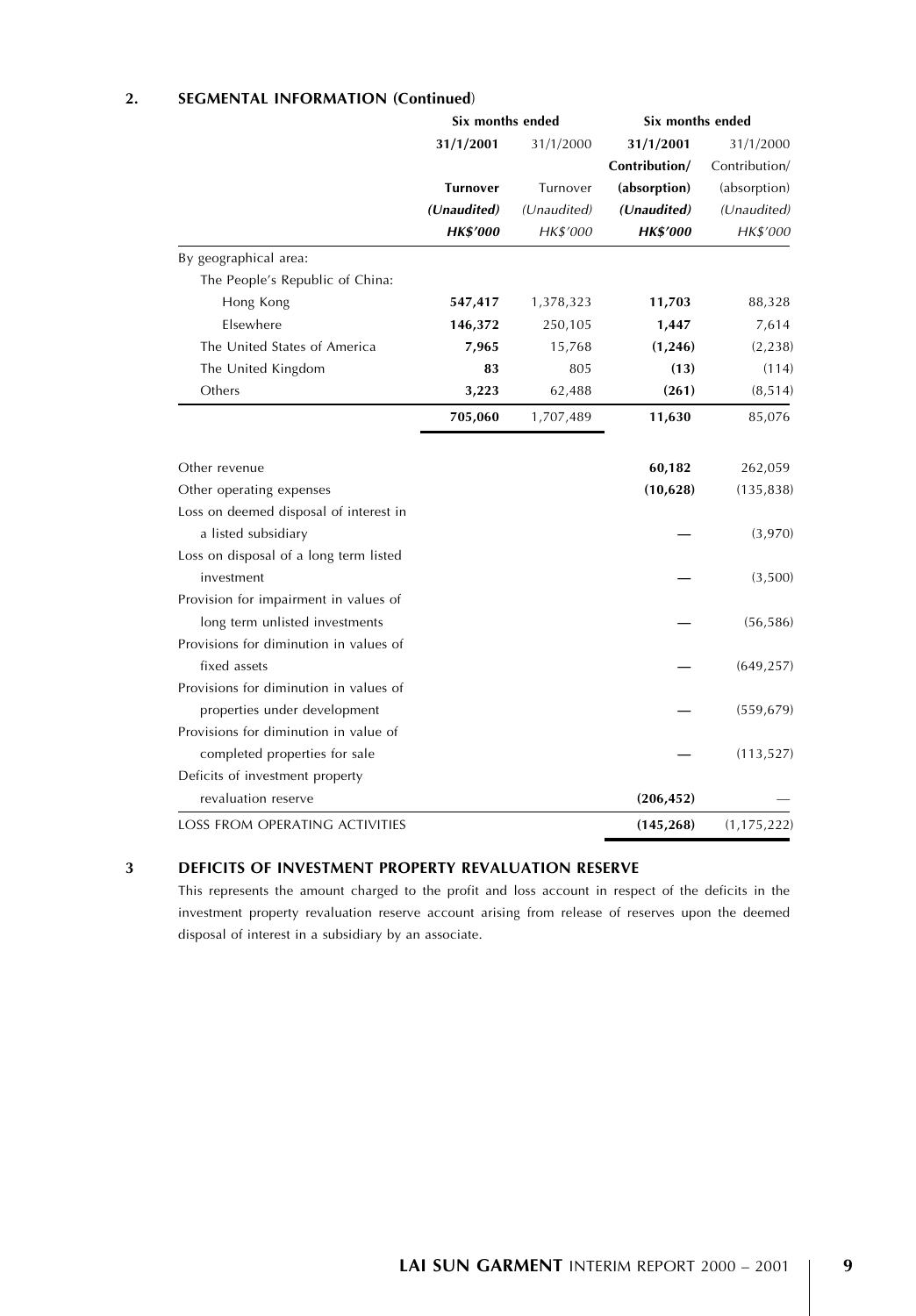#### $2.$ **SEGMENTAL INFORMATION (Continued)**

|                                        | Six months ended |             | Six months ended |                 |
|----------------------------------------|------------------|-------------|------------------|-----------------|
|                                        | 31/1/2001        | 31/1/2000   | 31/1/2001        | 31/1/2000       |
|                                        |                  |             | Contribution/    | Contribution/   |
|                                        | <b>Turnover</b>  | Turnover    | (absorption)     | (absorption)    |
|                                        | (Unaudited)      | (Unaudited) | (Unaudited)      | (Unaudited)     |
|                                        | <b>HK\$'000</b>  | HK\$'000    | <b>HK\$'000</b>  | <b>HK\$'000</b> |
| By geographical area:                  |                  |             |                  |                 |
| The People's Republic of China:        |                  |             |                  |                 |
| Hong Kong                              | 547,417          | 1,378,323   | 11,703           | 88,328          |
| Elsewhere                              | 146,372          | 250,105     | 1,447            | 7,614           |
| The United States of America           | 7,965            | 15,768      | (1, 246)         | (2, 238)        |
| The United Kingdom                     | 83               | 805         | (13)             | (114)           |
| Others                                 | 3,223            | 62,488      | (261)            | (8, 514)        |
|                                        | 705,060          | 1,707,489   | 11,630           | 85,076          |
|                                        |                  |             |                  |                 |
| Other revenue                          |                  |             | 60,182           | 262,059         |
| Other operating expenses               |                  |             | (10, 628)        | (135, 838)      |
| Loss on deemed disposal of interest in |                  |             |                  |                 |
| a listed subsidiary                    |                  |             |                  | (3,970)         |
| Loss on disposal of a long term listed |                  |             |                  |                 |
| investment                             |                  |             |                  | (3,500)         |
| Provision for impairment in values of  |                  |             |                  |                 |
| long term unlisted investments         |                  |             |                  | (56, 586)       |
| Provisions for diminution in values of |                  |             |                  |                 |
| fixed assets                           |                  |             |                  | (649, 257)      |
| Provisions for diminution in values of |                  |             |                  |                 |
| properties under development           |                  |             |                  | (559, 679)      |
| Provisions for diminution in value of  |                  |             |                  |                 |
| completed properties for sale          |                  |             |                  | (113, 527)      |
| Deficits of investment property        |                  |             |                  |                 |
| revaluation reserve                    |                  |             | (206, 452)       |                 |
| <b>LOSS FROM OPERATING ACTIVITIES</b>  |                  |             | (145, 268)       | (1, 175, 222)   |

 $\overline{\mathbf{3}}$ 

### DEFICITS OF INVESTMENT PROPERTY REVALUATION RESERVE

This represents the amount charged to the profit and loss account in respect of the deficits in the investment property revaluation reserve account arising from release of reserves upon the deemed disposal of interest in a subsidiary by an associate.

 $\boldsymbol{9}$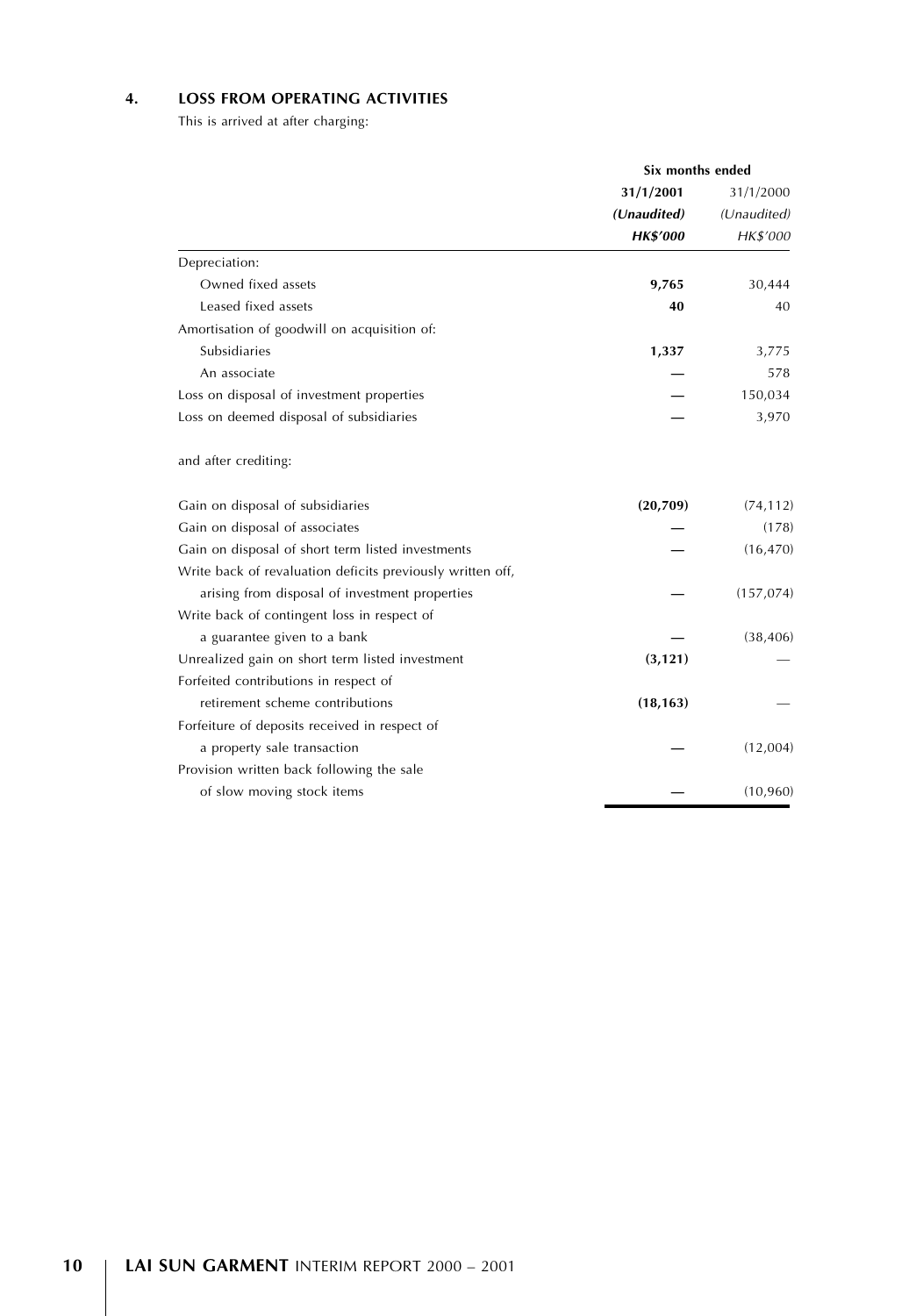#### $\overline{4}$ . **LOSS FROM OPERATING ACTIVITIES**

This is arrived at after charging:

|                                                            | Six months ended |             |
|------------------------------------------------------------|------------------|-------------|
|                                                            | 31/1/2001        | 31/1/2000   |
|                                                            | (Unaudited)      | (Unaudited) |
|                                                            | <b>HK\$'000</b>  | HK\$'000    |
| Depreciation:                                              |                  |             |
| Owned fixed assets                                         | 9,765            | 30,444      |
| Leased fixed assets                                        | 40               | 40          |
| Amortisation of goodwill on acquisition of:                |                  |             |
| Subsidiaries                                               | 1,337            | 3,775       |
| An associate                                               |                  | 578         |
| Loss on disposal of investment properties                  |                  | 150,034     |
| Loss on deemed disposal of subsidiaries                    |                  | 3,970       |
| and after crediting:                                       |                  |             |
| Gain on disposal of subsidiaries                           | (20, 709)        | (74, 112)   |
| Gain on disposal of associates                             |                  | (178)       |
| Gain on disposal of short term listed investments          |                  | (16, 470)   |
| Write back of revaluation deficits previously written off, |                  |             |
| arising from disposal of investment properties             |                  | (157, 074)  |
| Write back of contingent loss in respect of                |                  |             |
| a guarantee given to a bank                                |                  | (38, 406)   |
| Unrealized gain on short term listed investment            | (3, 121)         |             |
| Forfeited contributions in respect of                      |                  |             |
| retirement scheme contributions                            | (18, 163)        |             |
| Forfeiture of deposits received in respect of              |                  |             |
| a property sale transaction                                |                  | (12,004)    |
| Provision written back following the sale                  |                  |             |
| of slow moving stock items                                 |                  | (10, 960)   |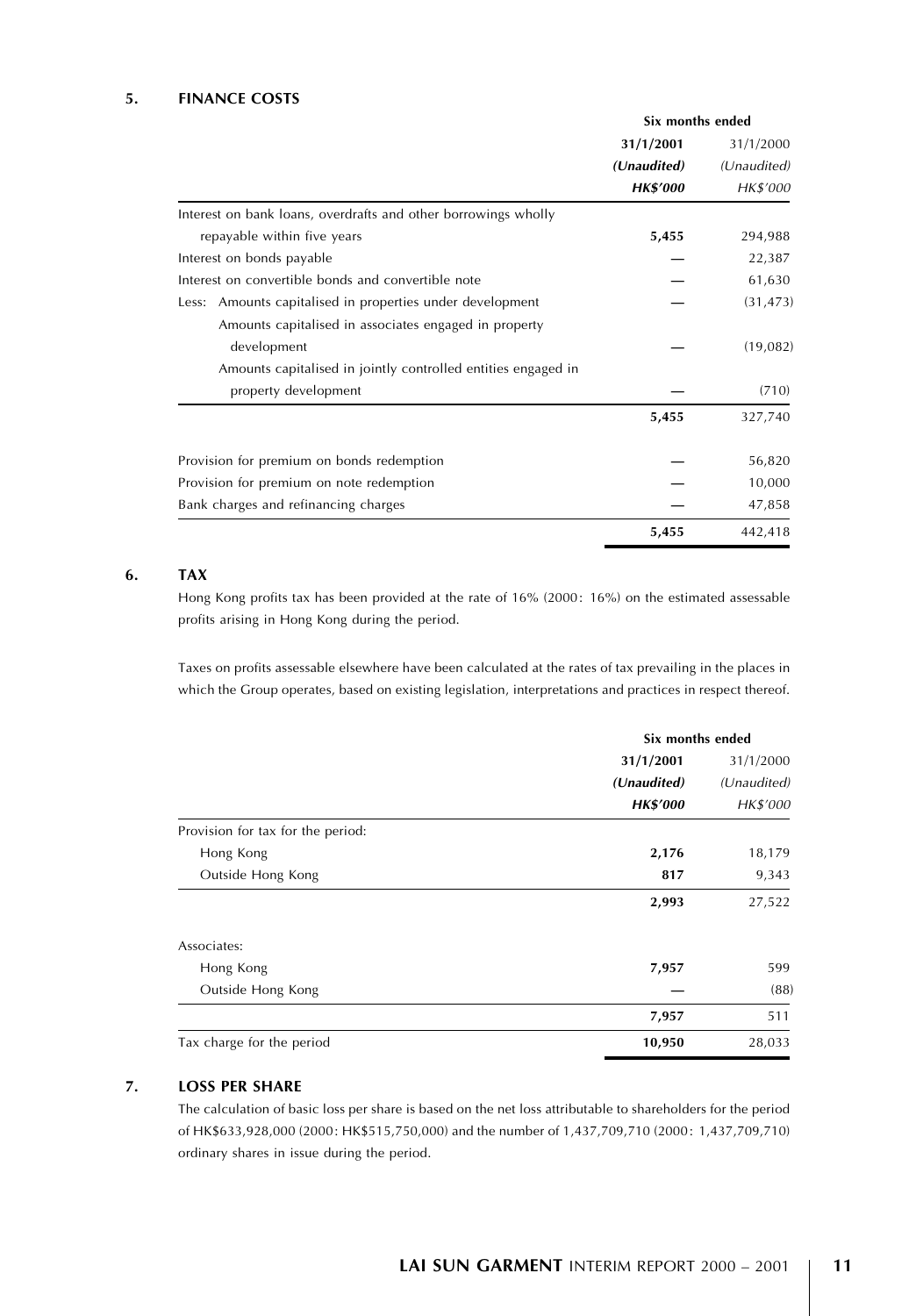#### 5. **FINANCE COSTS**

|                                                                | Six months ended |             |
|----------------------------------------------------------------|------------------|-------------|
|                                                                | 31/1/2001        | 31/1/2000   |
|                                                                | (Unaudited)      | (Unaudited) |
|                                                                | <b>HK\$'000</b>  | HK\$'000    |
| Interest on bank loans, overdrafts and other borrowings wholly |                  |             |
| repayable within five years                                    | 5,455            | 294,988     |
| Interest on bonds payable                                      |                  | 22,387      |
| Interest on convertible bonds and convertible note             |                  | 61,630      |
| Less: Amounts capitalised in properties under development      |                  | (31, 473)   |
| Amounts capitalised in associates engaged in property          |                  |             |
| development                                                    |                  | (19,082)    |
| Amounts capitalised in jointly controlled entities engaged in  |                  |             |
| property development                                           |                  | (710)       |
|                                                                | 5,455            | 327,740     |
| Provision for premium on bonds redemption                      |                  | 56,820      |
| Provision for premium on note redemption                       |                  | 10,000      |
| Bank charges and refinancing charges                           |                  | 47,858      |
|                                                                | 5,455            | 442,418     |

#### 6. **TAX**

Hong Kong profits tax has been provided at the rate of 16% (2000: 16%) on the estimated assessable profits arising in Hong Kong during the period.

Taxes on profits assessable elsewhere have been calculated at the rates of tax prevailing in the places in which the Group operates, based on existing legislation, interpretations and practices in respect thereof.

|                                   | Six months ended |                          |
|-----------------------------------|------------------|--------------------------|
|                                   | 31/1/2001        | 31/1/2000<br>(Unaudited) |
|                                   | (Unaudited)      |                          |
|                                   | <b>HK\$'000</b>  | HK\$'000                 |
| Provision for tax for the period: |                  |                          |
| Hong Kong                         | 2,176            | 18,179                   |
| Outside Hong Kong                 | 817              | 9,343                    |
|                                   | 2,993            | 27,522                   |
| Associates:                       |                  |                          |
| Hong Kong                         | 7,957            | 599                      |
| Outside Hong Kong                 |                  | (88)                     |
|                                   | 7,957            | 511                      |
| Tax charge for the period         | 10,950           | 28,033                   |

#### 7. **LOSS PER SHARE**

The calculation of basic loss per share is based on the net loss attributable to shareholders for the period of HK\$633,928,000 (2000: HK\$515,750,000) and the number of 1,437,709,710 (2000: 1,437,709,710) ordinary shares in issue during the period.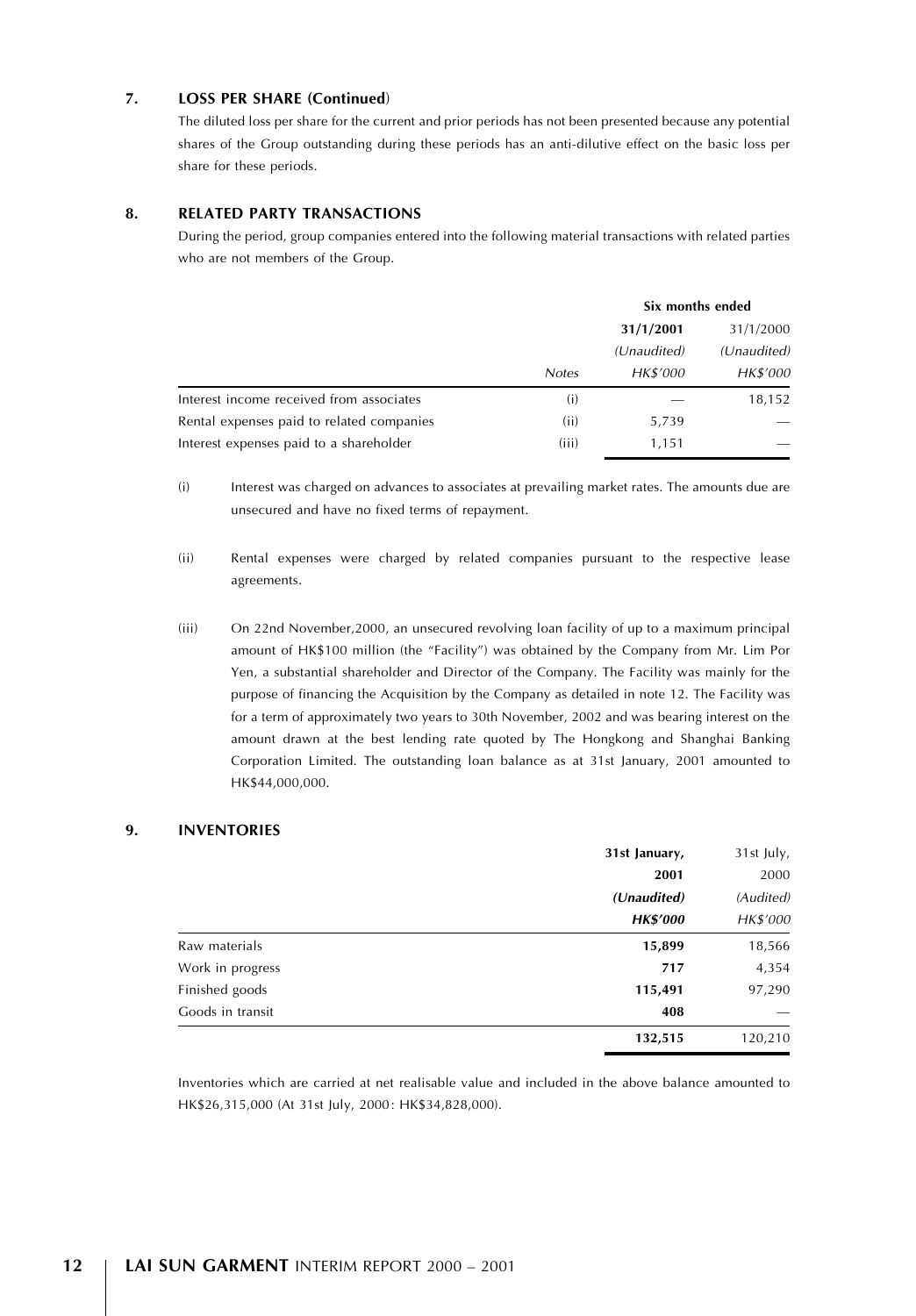#### $\overline{z}$ **LOSS PER SHARE (Continued)**

The diluted loss per share for the current and prior periods has not been presented because any potential shares of the Group outstanding during these periods has an anti-dilutive effect on the basic loss per share for these periods.

#### **RELATED PARTY TRANSACTIONS** 8.

During the period, group companies entered into the following material transactions with related parties who are not members of the Group.

|                                           | Six months ended |             |             |  |
|-------------------------------------------|------------------|-------------|-------------|--|
|                                           | <b>Notes</b>     | 31/1/2001   | 31/1/2000   |  |
|                                           |                  | (Unaudited) | (Unaudited) |  |
|                                           |                  | HK\$'000    | HK\$'000    |  |
| Interest income received from associates  | (i)              |             | 18,152      |  |
| Rental expenses paid to related companies | (ii)             | 5.739       |             |  |
| Interest expenses paid to a shareholder   | (iii)            | 1.151       |             |  |

Interest was charged on advances to associates at prevailing market rates. The amounts due are  $(i)$ unsecured and have no fixed terms of repayment.

 $(ii)$ Rental expenses were charged by related companies pursuant to the respective lease agreements.

 $(iii)$ On 22nd November, 2000, an unsecured revolving loan facility of up to a maximum principal amount of HK\$100 million (the "Facility") was obtained by the Company from Mr. Lim Por Yen, a substantial shareholder and Director of the Company. The Facility was mainly for the purpose of financing the Acquisition by the Company as detailed in note 12. The Facility was for a term of approximately two years to 30th November, 2002 and was bearing interest on the amount drawn at the best lending rate quoted by The Hongkong and Shanghai Banking Corporation Limited. The outstanding loan balance as at 31st January, 2001 amounted to HK\$44,000,000.

#### **INVENTORIES** 9.

|                  | 31st January,   | 31st July, |
|------------------|-----------------|------------|
|                  | 2001            | 2000       |
|                  | (Unaudited)     | (Audited)  |
|                  | <b>HK\$'000</b> | HK\$'000   |
| Raw materials    | 15,899          | 18,566     |
| Work in progress | 717             | 4,354      |
| Finished goods   | 115,491         | 97,290     |
| Goods in transit | 408             |            |
|                  | 132,515         | 120,210    |

Inventories which are carried at net realisable value and included in the above balance amounted to HK\$26,315,000 (At 31st July, 2000: HK\$34,828,000).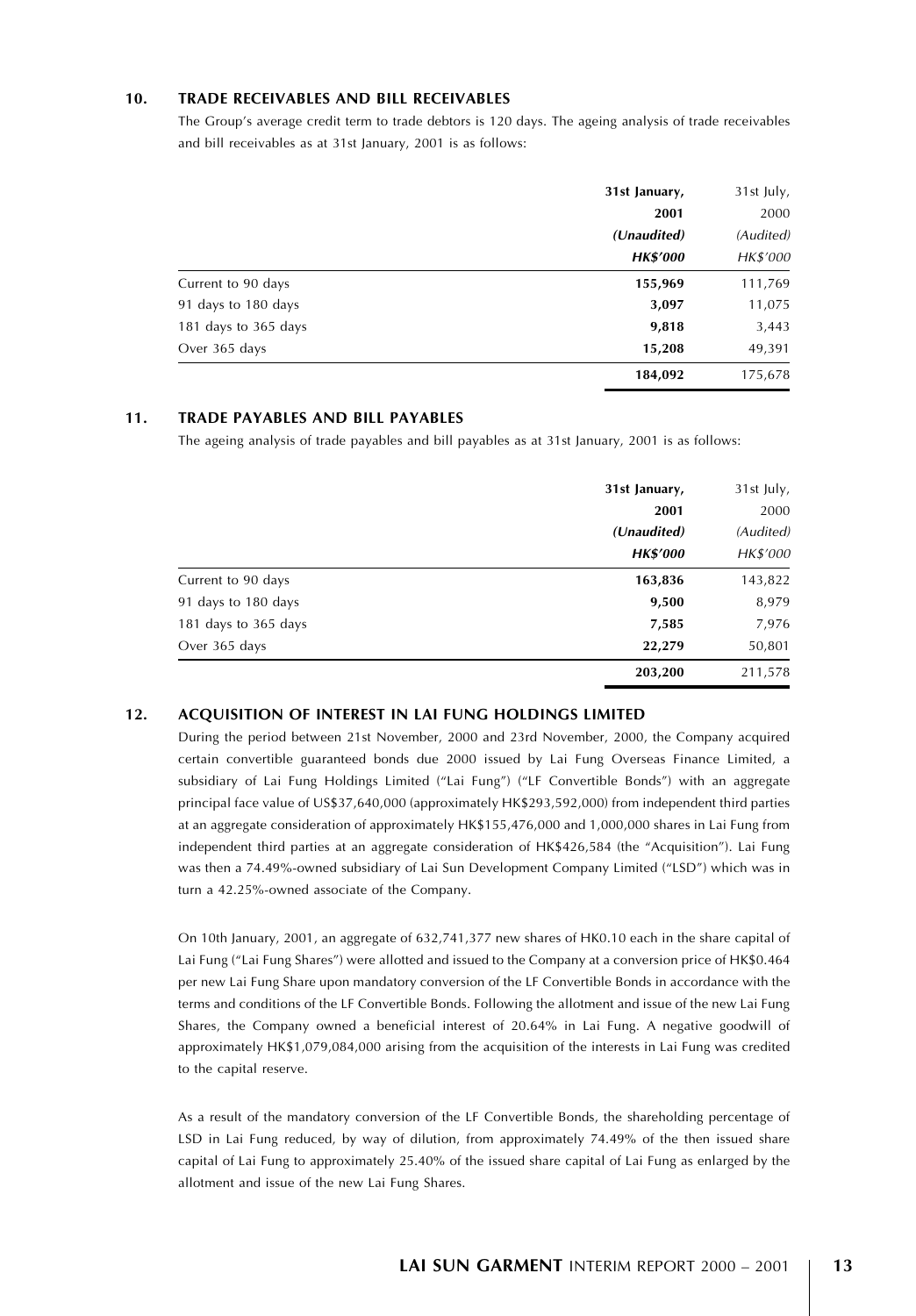#### $10<sup>1</sup>$ **TRADE RECEIVABLES AND BILL RECEIVABLES**

The Group's average credit term to trade debtors is 120 days. The ageing analysis of trade receivables and bill receivables as at 31st January, 2001 is as follows:

|                      | 31st January,   | 31st July, |  |
|----------------------|-----------------|------------|--|
|                      | 2001            |            |  |
|                      | (Unaudited)     | (Audited)  |  |
|                      | <b>HK\$'000</b> | HK\$'000   |  |
| Current to 90 days   | 155,969         | 111,769    |  |
| 91 days to 180 days  | 3,097           | 11,075     |  |
| 181 days to 365 days | 9,818           | 3,443      |  |
| Over 365 days        | 15,208          | 49,391     |  |
|                      | 184,092         | 175,678    |  |

#### **TRADE PAYABLES AND BILL PAYABLES**  $11.$

The ageing analysis of trade payables and bill payables as at 31st lanuary, 2001 is as follows:

|                      | 31st January,   | 31st July,        |  |
|----------------------|-----------------|-------------------|--|
|                      | 2001            | 2000<br>(Audited) |  |
|                      | (Unaudited)     |                   |  |
|                      | <b>HK\$'000</b> | HK\$'000          |  |
| Current to 90 days   | 163,836         | 143,822           |  |
| 91 days to 180 days  | 9,500           | 8,979             |  |
| 181 days to 365 days | 7,585           | 7,976             |  |
| Over 365 days        | 22,279          | 50,801            |  |
|                      | 203,200         | 211,578           |  |

#### $12.$ ACQUISITION OF INTEREST IN LAI FUNG HOLDINGS LIMITED

During the period between 21st November, 2000 and 23rd November, 2000, the Company acquired certain convertible guaranteed bonds due 2000 issued by Lai Fung Overseas Finance Limited, a subsidiary of Lai Fung Holdings Limited ("Lai Fung") ("LF Convertible Bonds") with an aggregate principal face value of US\$37,640,000 (approximately HK\$293,592,000) from independent third parties at an aggregate consideration of approximately HK\$155,476,000 and 1,000,000 shares in Lai Fung from independent third parties at an aggregate consideration of HK\$426,584 (the "Acquisition"). Lai Fung was then a 74.49%-owned subsidiary of Lai Sun Development Company Limited ("LSD") which was in turn a 42.25%-owned associate of the Company.

On 10th January, 2001, an aggregate of 632,741,377 new shares of HK0.10 each in the share capital of Lai Fung ("Lai Fung Shares") were allotted and issued to the Company at a conversion price of HK\$0.464 per new Lai Fung Share upon mandatory conversion of the LF Convertible Bonds in accordance with the terms and conditions of the LF Convertible Bonds. Following the allotment and issue of the new Lai Fung Shares, the Company owned a beneficial interest of 20.64% in Lai Fung. A negative goodwill of approximately HK\$1,079,084,000 arising from the acquisition of the interests in Lai Fung was credited to the capital reserve.

As a result of the mandatory conversion of the LF Convertible Bonds, the shareholding percentage of LSD in Lai Fung reduced, by way of dilution, from approximately 74.49% of the then issued share capital of Lai Fung to approximately 25.40% of the issued share capital of Lai Fung as enlarged by the allotment and issue of the new Lai Fung Shares.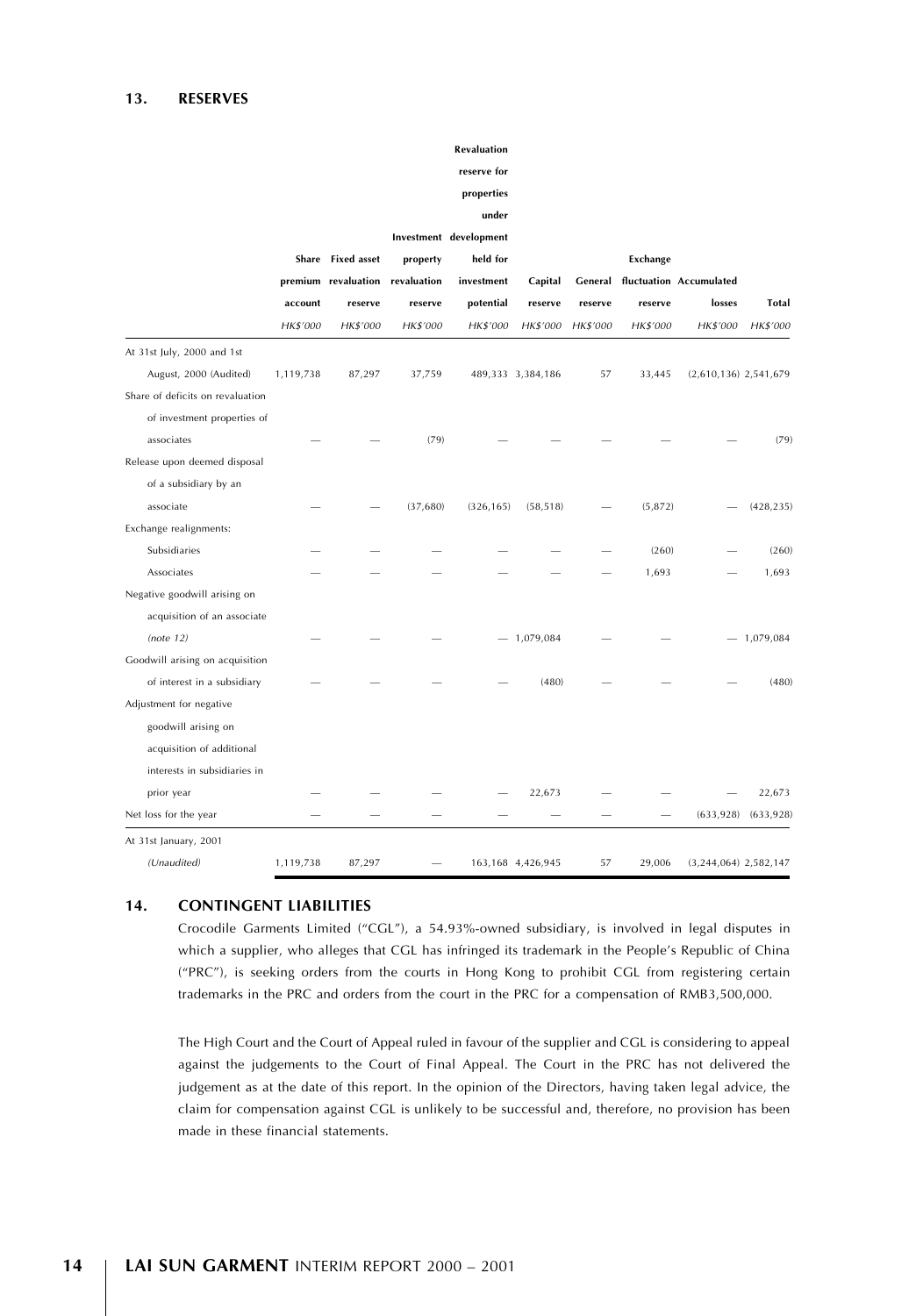#### **RESERVES**  $13.$

|                                  |           |                                 |          | <b>Kevaluation</b>     |                      |          |          |                           |              |
|----------------------------------|-----------|---------------------------------|----------|------------------------|----------------------|----------|----------|---------------------------|--------------|
|                                  |           |                                 |          | reserve for            |                      |          |          |                           |              |
|                                  |           |                                 |          | properties             |                      |          |          |                           |              |
|                                  |           |                                 |          | under                  |                      |          |          |                           |              |
|                                  |           |                                 |          | Investment development |                      |          |          |                           |              |
|                                  |           | Share Fixed asset               | property | held for               |                      |          | Exchange |                           |              |
|                                  |           | premium revaluation revaluation |          | investment             | Capital              | General  |          | fluctuation Accumulated   |              |
|                                  | account   | reserve                         | reserve  | potential              | reserve              | reserve  | reserve  | losses                    | <b>Total</b> |
|                                  | HK\$'000  | HK\$'000                        | HK\$'000 | HK\$'000               | <b>HK\$'000</b>      | HK\$'000 | HK\$'000 | HK\$'000                  | HK\$'000     |
| At 31st July, 2000 and 1st       |           |                                 |          |                        |                      |          |          |                           |              |
| August, 2000 (Audited)           | 1,119,738 | 87,297                          | 37,759   |                        | 489,333 3,384,186    | 57       | 33,445   | $(2,610,136)$ 2,541,679   |              |
| Share of deficits on revaluation |           |                                 |          |                        |                      |          |          |                           |              |
| of investment properties of      |           |                                 |          |                        |                      |          |          |                           |              |
| associates                       |           |                                 | (79)     |                        |                      |          |          |                           | (79)         |
| Release upon deemed disposal     |           |                                 |          |                        |                      |          |          |                           |              |
| of a subsidiary by an            |           |                                 |          |                        |                      |          |          |                           |              |
| associate                        |           |                                 | (37,680) | (326, 165)             | (58, 518)            |          | (5, 872) |                           | (428, 235)   |
| Exchange realignments:           |           |                                 |          |                        |                      |          |          |                           |              |
| Subsidiaries                     |           |                                 |          |                        |                      |          | (260)    |                           | (260)        |
| Associates                       |           |                                 |          |                        |                      |          | 1,693    |                           | 1,693        |
| Negative goodwill arising on     |           |                                 |          |                        |                      |          |          |                           |              |
| acquisition of an associate      |           |                                 |          |                        |                      |          |          |                           |              |
| (note 12)                        |           |                                 |          |                        | $-1,079,084$         |          |          |                           | 1,079,084    |
| Goodwill arising on acquisition  |           |                                 |          |                        |                      |          |          |                           |              |
| of interest in a subsidiary      |           |                                 |          |                        | (480)                |          |          |                           | (480)        |
| Adjustment for negative          |           |                                 |          |                        |                      |          |          |                           |              |
| goodwill arising on              |           |                                 |          |                        |                      |          |          |                           |              |
| acquisition of additional        |           |                                 |          |                        |                      |          |          |                           |              |
| interests in subsidiaries in     |           |                                 |          |                        |                      |          |          |                           |              |
| prior year                       |           |                                 |          |                        | 22,673               |          |          |                           | 22,673       |
| Net loss for the year            |           |                                 |          |                        |                      |          |          | (633, 928)                | (633, 928)   |
| At 31st January, 2001            |           |                                 |          |                        |                      |          |          |                           |              |
| (Unaudited)                      | 1,119,738 | 87,297                          |          |                        | 163, 168 4, 426, 945 | 57       | 29,006   | $(3, 244, 064)$ 2,582,147 |              |
|                                  |           |                                 |          |                        |                      |          |          |                           |              |

#### $14.$ **CONTINGENT LIABILITIES**

Crocodile Garments Limited ("CGL"), a 54.93%-owned subsidiary, is involved in legal disputes in which a supplier, who alleges that CGL has infringed its trademark in the People's Republic of China ("PRC"), is seeking orders from the courts in Hong Kong to prohibit CGL from registering certain trademarks in the PRC and orders from the court in the PRC for a compensation of RMB3,500,000.

The High Court and the Court of Appeal ruled in favour of the supplier and CGL is considering to appeal against the judgements to the Court of Final Appeal. The Court in the PRC has not delivered the judgement as at the date of this report. In the opinion of the Directors, having taken legal advice, the claim for compensation against CGL is unlikely to be successful and, therefore, no provision has been made in these financial statements.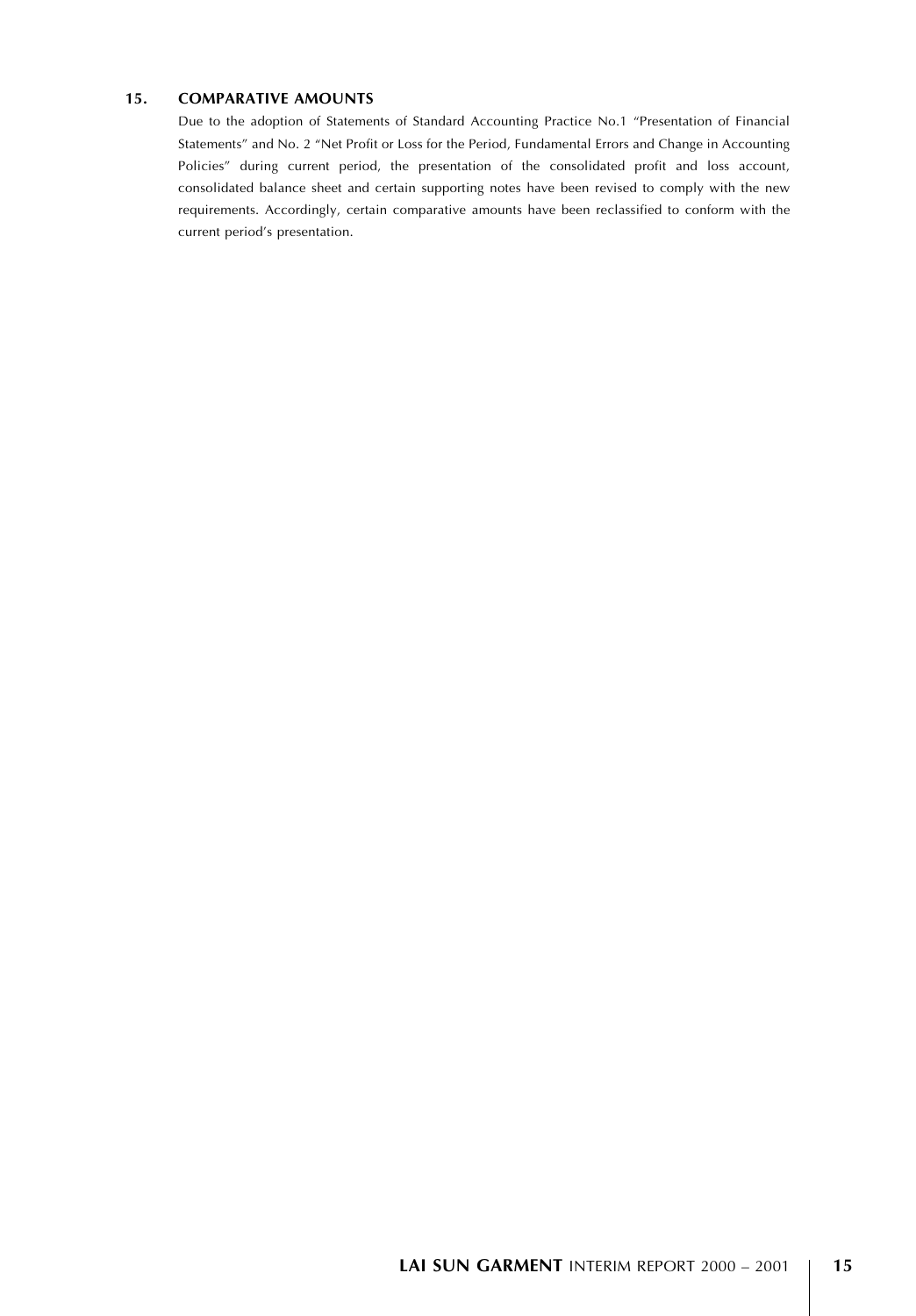#### $15.$ **COMPARATIVE AMOUNTS**

Due to the adoption of Statements of Standard Accounting Practice No.1 "Presentation of Financial Statements" and No. 2 "Net Profit or Loss for the Period, Fundamental Errors and Change in Accounting Policies" during current period, the presentation of the consolidated profit and loss account, consolidated balance sheet and certain supporting notes have been revised to comply with the new requirements. Accordingly, certain comparative amounts have been reclassified to conform with the current period's presentation.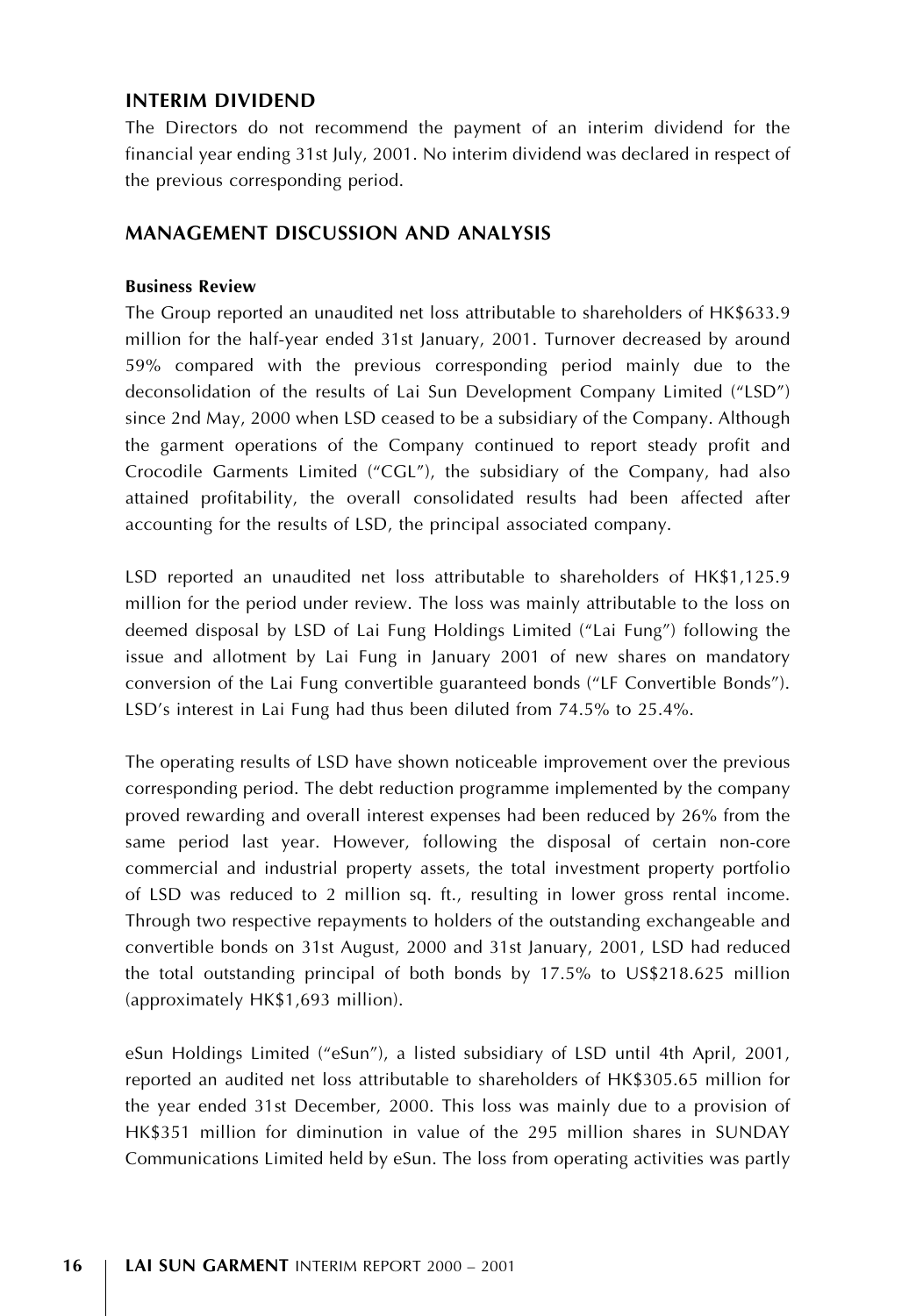### **INTERIM DIVIDEND**

The Directors do not recommend the payment of an interim dividend for the financial year ending 31st July, 2001. No interim dividend was declared in respect of the previous corresponding period.

### **MANAGEMENT DISCUSSION AND ANALYSIS**

### **Business Review**

The Group reported an unaudited net loss attributable to shareholders of HK\$633.9 million for the half-year ended 31st January, 2001. Turnover decreased by around 59% compared with the previous corresponding period mainly due to the deconsolidation of the results of Lai Sun Development Company Limited ("LSD") since 2nd May, 2000 when LSD ceased to be a subsidiary of the Company. Although the garment operations of the Company continued to report steady profit and Crocodile Garments Limited ("CGL"), the subsidiary of the Company, had also attained profitability, the overall consolidated results had been affected after accounting for the results of LSD, the principal associated company.

LSD reported an unaudited net loss attributable to shareholders of HK\$1,125.9 million for the period under review. The loss was mainly attributable to the loss on deemed disposal by LSD of Lai Fung Holdings Limited ("Lai Fung") following the issue and allotment by Lai Fung in January 2001 of new shares on mandatory conversion of the Lai Fung convertible guaranteed bonds ("LF Convertible Bonds"). LSD's interest in Lai Fung had thus been diluted from 74.5% to 25.4%.

The operating results of LSD have shown noticeable improvement over the previous corresponding period. The debt reduction programme implemented by the company proved rewarding and overall interest expenses had been reduced by 26% from the same period last year. However, following the disposal of certain non-core commercial and industrial property assets, the total investment property portfolio of LSD was reduced to 2 million sq. ft., resulting in lower gross rental income. Through two respective repayments to holders of the outstanding exchangeable and convertible bonds on 31st August, 2000 and 31st January, 2001, LSD had reduced the total outstanding principal of both bonds by 17.5% to US\$218.625 million (approximately HK\$1,693 million).

eSun Holdings Limited ("eSun"), a listed subsidiary of LSD until 4th April, 2001, reported an audited net loss attributable to shareholders of HK\$305.65 million for the year ended 31st December, 2000. This loss was mainly due to a provision of HK\$351 million for diminution in value of the 295 million shares in SUNDAY Communications Limited held by eSun. The loss from operating activities was partly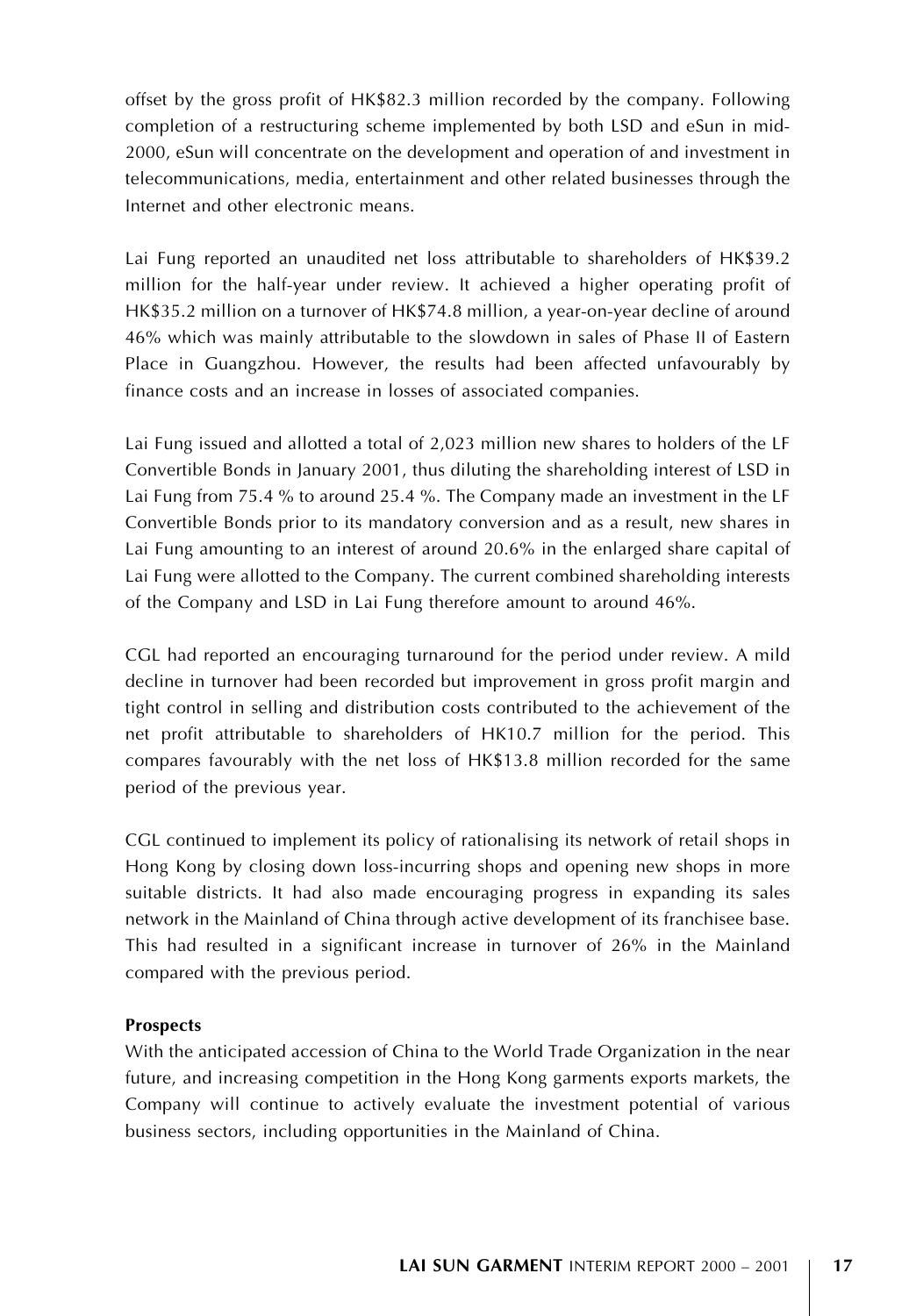offset by the gross profit of HK\$82.3 million recorded by the company. Following completion of a restructuring scheme implemented by both LSD and eSun in mid-2000, eSun will concentrate on the development and operation of and investment in telecommunications, media, entertainment and other related businesses through the Internet and other electronic means.

Lai Fung reported an unaudited net loss attributable to shareholders of HK\$39.2 million for the half-year under review. It achieved a higher operating profit of HK\$35.2 million on a turnover of HK\$74.8 million, a year-on-year decline of around 46% which was mainly attributable to the slowdown in sales of Phase II of Eastern Place in Guangzhou. However, the results had been affected unfavourably by finance costs and an increase in losses of associated companies.

Lai Fung issued and allotted a total of 2,023 million new shares to holders of the LF Convertible Bonds in January 2001, thus diluting the shareholding interest of LSD in Lai Fung from 75.4 % to around 25.4 %. The Company made an investment in the LF Convertible Bonds prior to its mandatory conversion and as a result, new shares in Lai Fung amounting to an interest of around 20.6% in the enlarged share capital of Lai Fung were allotted to the Company. The current combined shareholding interests of the Company and LSD in Lai Fung therefore amount to around 46%.

CGL had reported an encouraging turnaround for the period under review. A mild decline in turnover had been recorded but improvement in gross profit margin and tight control in selling and distribution costs contributed to the achievement of the net profit attributable to shareholders of HK10.7 million for the period. This compares favourably with the net loss of HK\$13.8 million recorded for the same period of the previous year.

CGL continued to implement its policy of rationalising its network of retail shops in Hong Kong by closing down loss-incurring shops and opening new shops in more suitable districts. It had also made encouraging progress in expanding its sales network in the Mainland of China through active development of its franchisee base. This had resulted in a significant increase in turnover of 26% in the Mainland compared with the previous period.

### **Prospects**

With the anticipated accession of China to the World Trade Organization in the near future, and increasing competition in the Hong Kong garments exports markets, the Company will continue to actively evaluate the investment potential of various business sectors, including opportunities in the Mainland of China.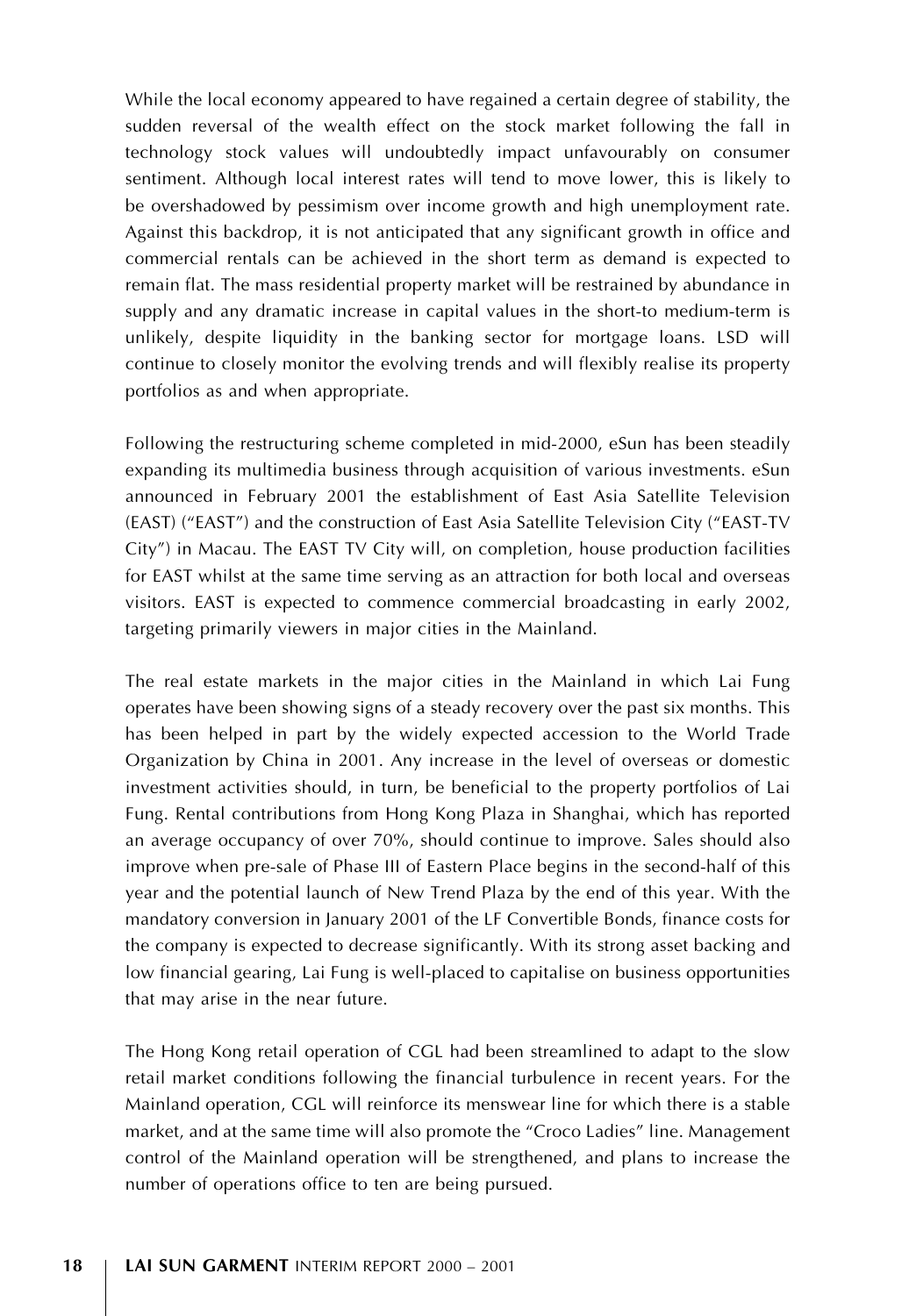While the local economy appeared to have regained a certain degree of stability, the sudden reversal of the wealth effect on the stock market following the fall in technology stock values will undoubtedly impact unfavourably on consumer sentiment. Although local interest rates will tend to move lower, this is likely to be overshadowed by pessimism over income growth and high unemployment rate. Against this backdrop, it is not anticipated that any significant growth in office and commercial rentals can be achieved in the short term as demand is expected to remain flat. The mass residential property market will be restrained by abundance in supply and any dramatic increase in capital values in the short-to medium-term is unlikely, despite liquidity in the banking sector for mortgage loans. LSD will continue to closely monitor the evolving trends and will flexibly realise its property portfolios as and when appropriate.

Following the restructuring scheme completed in mid-2000, eSun has been steadily expanding its multimedia business through acquisition of various investments. eSun announced in February 2001 the establishment of East Asia Satellite Television (EAST) ("EAST") and the construction of East Asia Satellite Television City ("EAST-TV City") in Macau. The EAST TV City will, on completion, house production facilities for EAST whilst at the same time serving as an attraction for both local and overseas visitors. EAST is expected to commence commercial broadcasting in early 2002, targeting primarily viewers in major cities in the Mainland.

The real estate markets in the major cities in the Mainland in which Lai Fung operates have been showing signs of a steady recovery over the past six months. This has been helped in part by the widely expected accession to the World Trade Organization by China in 2001. Any increase in the level of overseas or domestic investment activities should, in turn, be beneficial to the property portfolios of Lai Fung. Rental contributions from Hong Kong Plaza in Shanghai, which has reported an average occupancy of over 70%, should continue to improve. Sales should also improve when pre-sale of Phase III of Eastern Place begins in the second-half of this year and the potential launch of New Trend Plaza by the end of this year. With the mandatory conversion in January 2001 of the LF Convertible Bonds, finance costs for the company is expected to decrease significantly. With its strong asset backing and low financial gearing, Lai Fung is well-placed to capitalise on business opportunities that may arise in the near future.

The Hong Kong retail operation of CGL had been streamlined to adapt to the slow retail market conditions following the financial turbulence in recent years. For the Mainland operation, CGL will reinforce its menswear line for which there is a stable market, and at the same time will also promote the "Croco Ladies" line. Management control of the Mainland operation will be strengthened, and plans to increase the number of operations office to ten are being pursued.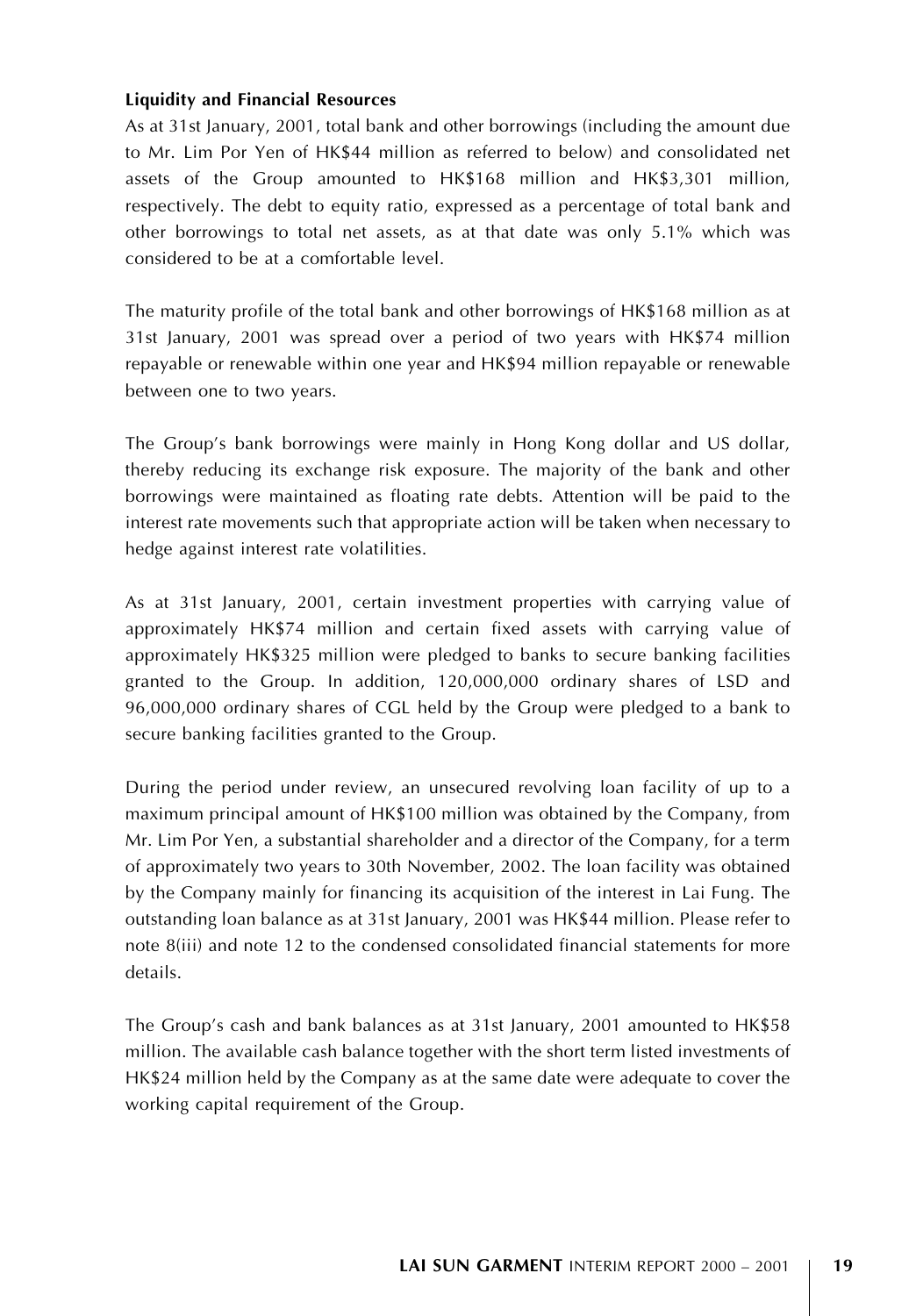### **Liquidity and Financial Resources**

As at 31st January, 2001, total bank and other borrowings (including the amount due to Mr. Lim Por Yen of HK\$44 million as referred to below) and consolidated net assets of the Group amounted to HK\$168 million and HK\$3,301 million, respectively. The debt to equity ratio, expressed as a percentage of total bank and other borrowings to total net assets, as at that date was only 5.1% which was considered to be at a comfortable level.

The maturity profile of the total bank and other borrowings of HK\$168 million as at 31st January, 2001 was spread over a period of two years with HK\$74 million repayable or renewable within one year and HK\$94 million repayable or renewable between one to two years.

The Group's bank borrowings were mainly in Hong Kong dollar and US dollar, thereby reducing its exchange risk exposure. The majority of the bank and other borrowings were maintained as floating rate debts. Attention will be paid to the interest rate movements such that appropriate action will be taken when necessary to hedge against interest rate volatilities.

As at 31st January, 2001, certain investment properties with carrying value of approximately HK\$74 million and certain fixed assets with carrying value of approximately HK\$325 million were pledged to banks to secure banking facilities granted to the Group. In addition, 120,000,000 ordinary shares of LSD and 96,000,000 ordinary shares of CGL held by the Group were pledged to a bank to secure banking facilities granted to the Group.

During the period under review, an unsecured revolving loan facility of up to a maximum principal amount of HK\$100 million was obtained by the Company, from Mr. Lim Por Yen, a substantial shareholder and a director of the Company, for a term of approximately two years to 30th November, 2002. The loan facility was obtained by the Company mainly for financing its acquisition of the interest in Lai Fung. The outstanding loan balance as at 31st January, 2001 was HK\$44 million. Please refer to note 8(iii) and note 12 to the condensed consolidated financial statements for more details

The Group's cash and bank balances as at 31st January, 2001 amounted to HK\$58 million. The available cash balance together with the short term listed investments of HK\$24 million held by the Company as at the same date were adequate to cover the working capital requirement of the Group.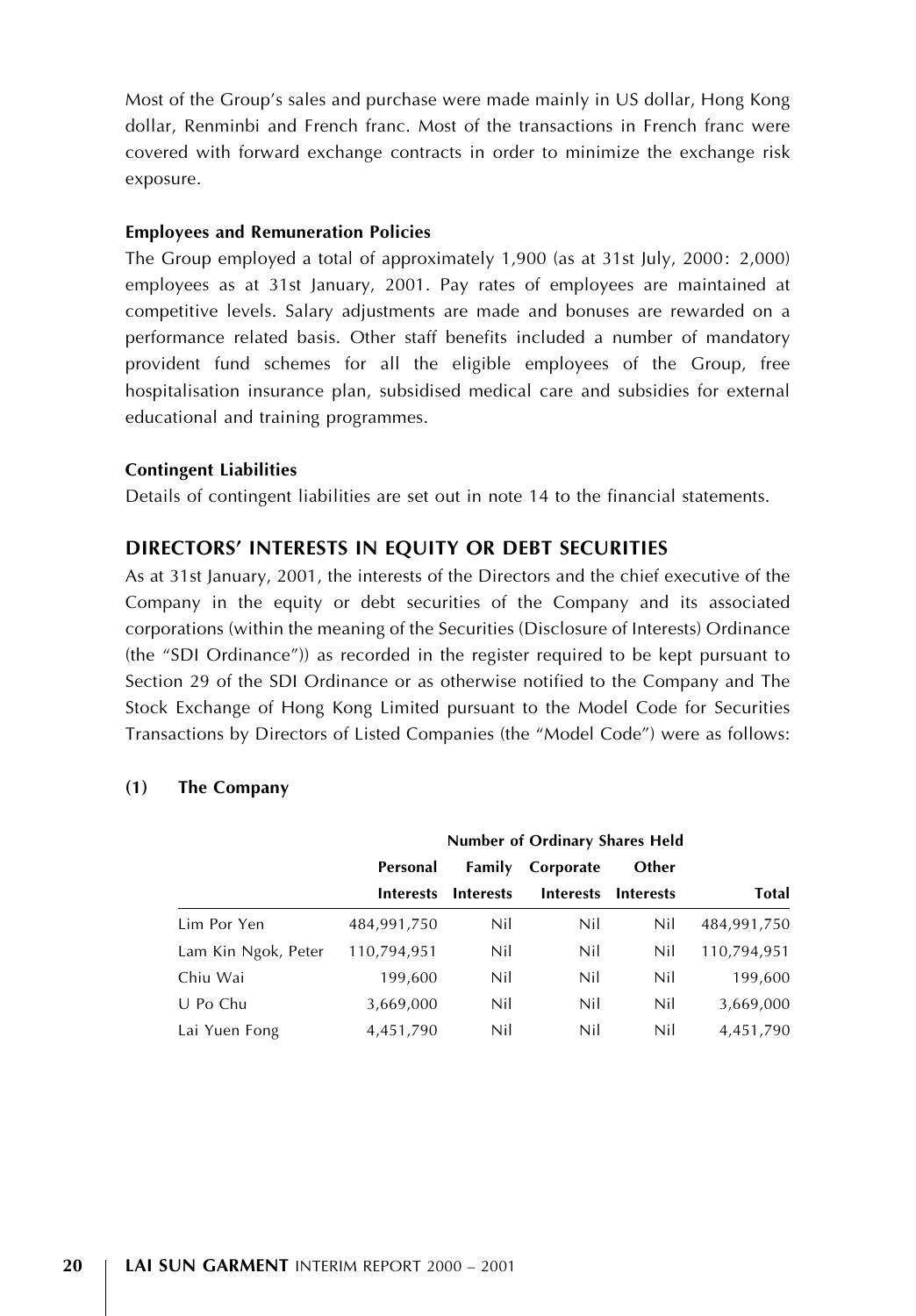Most of the Group's sales and purchase were made mainly in US dollar, Hong Kong dollar, Renminbi and French franc. Most of the transactions in French franc were covered with forward exchange contracts in order to minimize the exchange risk exposure.

### **Employees and Remuneration Policies**

The Group employed a total of approximately 1,900 (as at 31st July, 2000: 2,000) employees as at 31st January, 2001. Pay rates of employees are maintained at competitive levels. Salary adjustments are made and bonuses are rewarded on a performance related basis. Other staff benefits included a number of mandatory provident fund schemes for all the eligible employees of the Group, free hospitalisation insurance plan, subsidised medical care and subsidies for external educational and training programmes.

### **Contingent Liabilities**

Details of contingent liabilities are set out in note 14 to the financial statements.

### DIRECTORS' INTERESTS IN EQUITY OR DEBT SECURITIES

As at 31st January, 2001, the interests of the Directors and the chief executive of the Company in the equity or debt securities of the Company and its associated corporations (within the meaning of the Securities (Disclosure of Interests) Ordinance (the "SDI Ordinance")) as recorded in the register required to be kept pursuant to Section 29 of the SDI Ordinance or as otherwise notified to the Company and The Stock Exchange of Hong Kong Limited pursuant to the Model Code for Securities Transactions by Directors of Listed Companies (the "Model Code") were as follows:

#### $(1)$ **The Company**

|                     | Number of Ordinary Shares Held |                              |                  |           |             |  |
|---------------------|--------------------------------|------------------------------|------------------|-----------|-------------|--|
|                     | Personal                       | Family<br>Corporate<br>Other |                  |           |             |  |
|                     | Interests                      | <b>Interests</b>             | <b>Interests</b> | Interests | Total       |  |
| Lim Por Yen         | 484,991,750                    | Nil                          | Nil              | Nil       | 484,991,750 |  |
| Lam Kin Ngok, Peter | 110.794.951                    | Nil                          | Nil              | Nil       | 110.794.951 |  |
| Chiu Wai            | 199,600                        | Nil                          | Nil              | Nil       | 199.600     |  |
| U Po Chu            | 3,669,000                      | Nil                          | Nil              | Nil       | 3,669,000   |  |
| Lai Yuen Fong       | 4,451,790                      | Nil                          | Nil              | Nil       | 4,451,790   |  |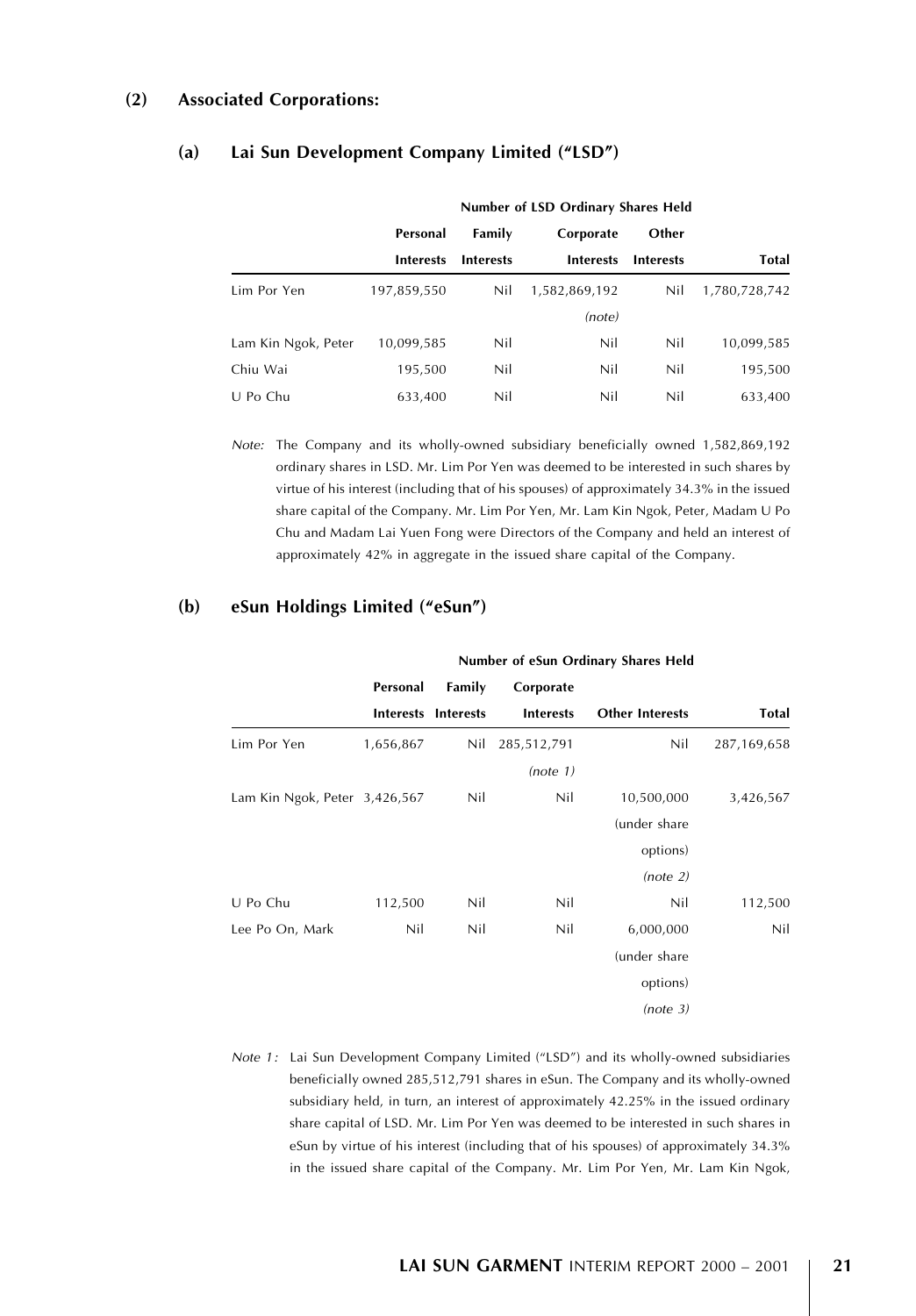#### $(2)$ **Associated Corporations:**

|                     | <b>Number</b> of L3D Organizer shares rigid |                     |                  |                  |               |
|---------------------|---------------------------------------------|---------------------|------------------|------------------|---------------|
|                     | Personal                                    | Family<br>Corporate |                  |                  |               |
|                     | <b>Interests</b>                            | <b>Interests</b>    | <b>Interests</b> | <b>Interests</b> | Total         |
| Lim Por Yen         | 197,859,550                                 | Nil                 | 1,582,869,192    | Nil              | 1,780,728,742 |
|                     |                                             |                     | (note)           |                  |               |
| Lam Kin Ngok, Peter | 10,099,585                                  | Nil                 | Nil              | Nil              | 10,099,585    |
| Chiu Wai            | 195.500                                     | Nil                 | Nil              | Nil              | 195.500       |
| U Po Chu            | 633,400                                     | Nil                 | Nil              | Nil              | 633.400       |

Number of LCD Ordinary Charge Hold

#### $(a)$ Lai Sun Development Company Limited ("LSD")

Note: The Company and its wholly-owned subsidiary beneficially owned 1,582,869,192 ordinary shares in LSD. Mr. Lim Por Yen was deemed to be interested in such shares by virtue of his interest (including that of his spouses) of approximately 34.3% in the issued share capital of the Company. Mr. Lim Por Yen, Mr. Lam Kin Ngok, Peter, Madam U Po Chu and Madam Lai Yuen Fong were Directors of the Company and held an interest of approximately 42% in aggregate in the issued share capital of the Company.

#### $(b)$ eSun Holdings Limited ("eSun")

|                               | Number of eSun Ordinary Shares Held |                     |                  |                        |              |  |
|-------------------------------|-------------------------------------|---------------------|------------------|------------------------|--------------|--|
|                               | Personal                            | Family              | Corporate        |                        |              |  |
|                               |                                     | Interests Interests | <b>Interests</b> | <b>Other Interests</b> | <b>Total</b> |  |
| Lim Por Yen                   | 1,656,867                           | Nil                 | 285,512,791      | Nil                    | 287,169,658  |  |
|                               |                                     |                     | (note 1)         |                        |              |  |
| Lam Kin Ngok, Peter 3,426,567 |                                     | Nil                 | Nil              | 10,500,000             | 3,426,567    |  |
|                               |                                     |                     |                  | (under share)          |              |  |
|                               |                                     |                     |                  | options)               |              |  |
|                               |                                     |                     |                  | (note 2)               |              |  |
| U Po Chu                      | 112,500                             | Nil                 | Nil              | Nil                    | 112,500      |  |
| Lee Po On, Mark               | Nil                                 | Nil                 | Nil              | 6,000,000              | Nil          |  |
|                               |                                     |                     |                  | (under share           |              |  |
|                               |                                     |                     |                  | options)               |              |  |
|                               |                                     |                     |                  | (note 3)               |              |  |

Note 1: Lai Sun Development Company Limited ("LSD") and its wholly-owned subsidiaries beneficially owned 285,512,791 shares in eSun. The Company and its wholly-owned subsidiary held, in turn, an interest of approximately 42.25% in the issued ordinary share capital of LSD. Mr. Lim Por Yen was deemed to be interested in such shares in eSun by virtue of his interest (including that of his spouses) of approximately 34.3% in the issued share capital of the Company. Mr. Lim Por Yen, Mr. Lam Kin Ngok,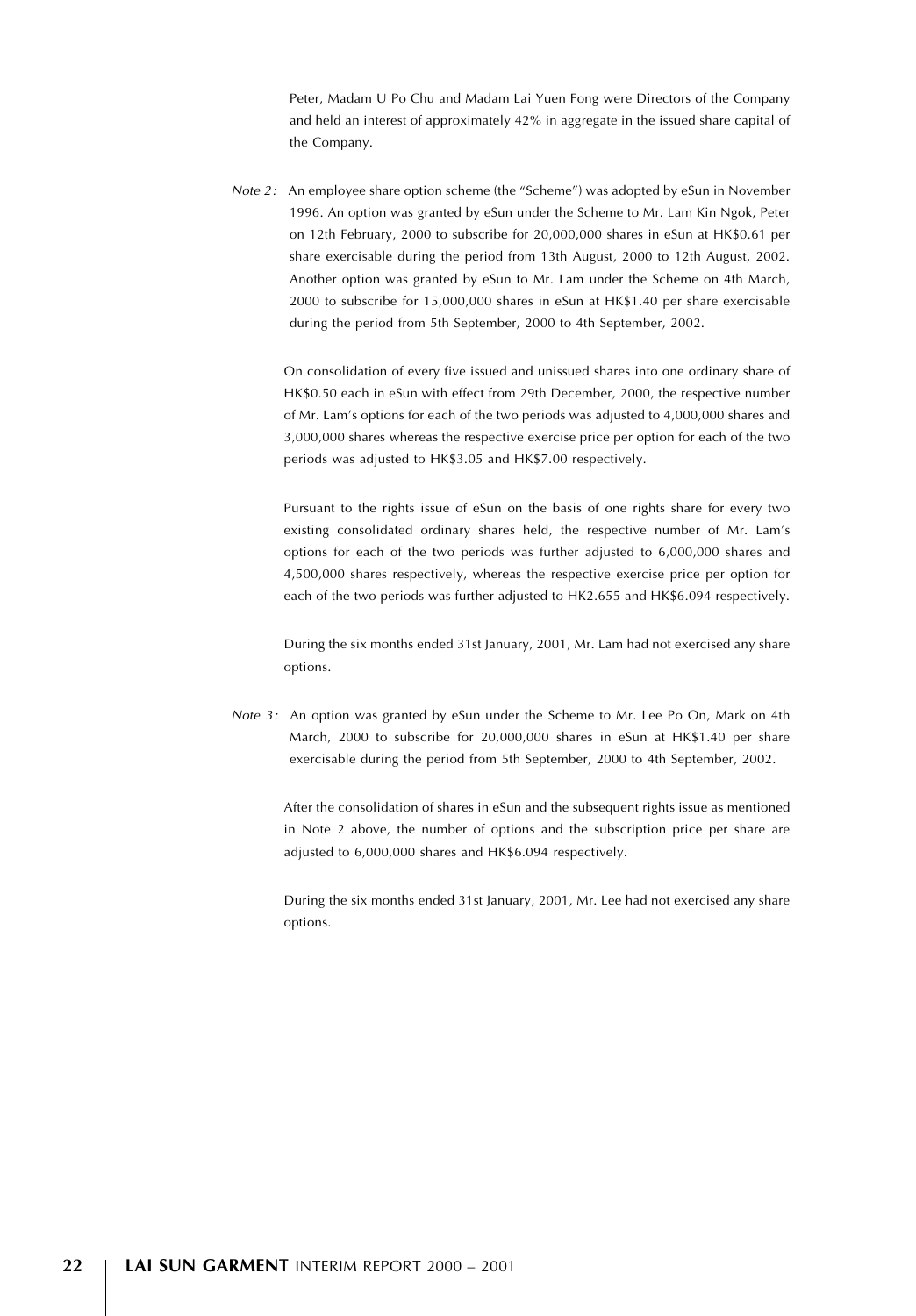Peter, Madam U Po Chu and Madam Lai Yuen Fong were Directors of the Company and held an interest of approximately 42% in aggregate in the issued share capital of the Company.

Note 2: An employee share option scheme (the "Scheme") was adopted by eSun in November 1996. An option was granted by eSun under the Scheme to Mr. Lam Kin Ngok, Peter on 12th February, 2000 to subscribe for 20,000,000 shares in eSun at HK\$0.61 per share exercisable during the period from 13th August, 2000 to 12th August, 2002. Another option was granted by eSun to Mr. Lam under the Scheme on 4th March, 2000 to subscribe for 15,000,000 shares in eSun at HK\$1.40 per share exercisable during the period from 5th September, 2000 to 4th September, 2002.

On consolidation of every five issued and unissued shares into one ordinary share of HK\$0.50 each in eSun with effect from 29th December, 2000, the respective number of Mr. Lam's options for each of the two periods was adjusted to 4,000,000 shares and 3,000,000 shares whereas the respective exercise price per option for each of the two periods was adjusted to HK\$3.05 and HK\$7.00 respectively.

Pursuant to the rights issue of eSun on the basis of one rights share for every two existing consolidated ordinary shares held, the respective number of Mr. Lam's options for each of the two periods was further adjusted to 6,000,000 shares and 4,500,000 shares respectively, whereas the respective exercise price per option for each of the two periods was further adjusted to HK2.655 and HK\$6.094 respectively.

During the six months ended 31st January, 2001, Mr. Lam had not exercised any share options.

Note 3: An option was granted by eSun under the Scheme to Mr. Lee Po On, Mark on 4th March, 2000 to subscribe for 20,000,000 shares in eSun at HK\$1.40 per share exercisable during the period from 5th September, 2000 to 4th September, 2002.

After the consolidation of shares in eSun and the subsequent rights issue as mentioned in Note 2 above, the number of options and the subscription price per share are adjusted to 6,000,000 shares and HK\$6.094 respectively.

During the six months ended 31st January, 2001, Mr. Lee had not exercised any share options.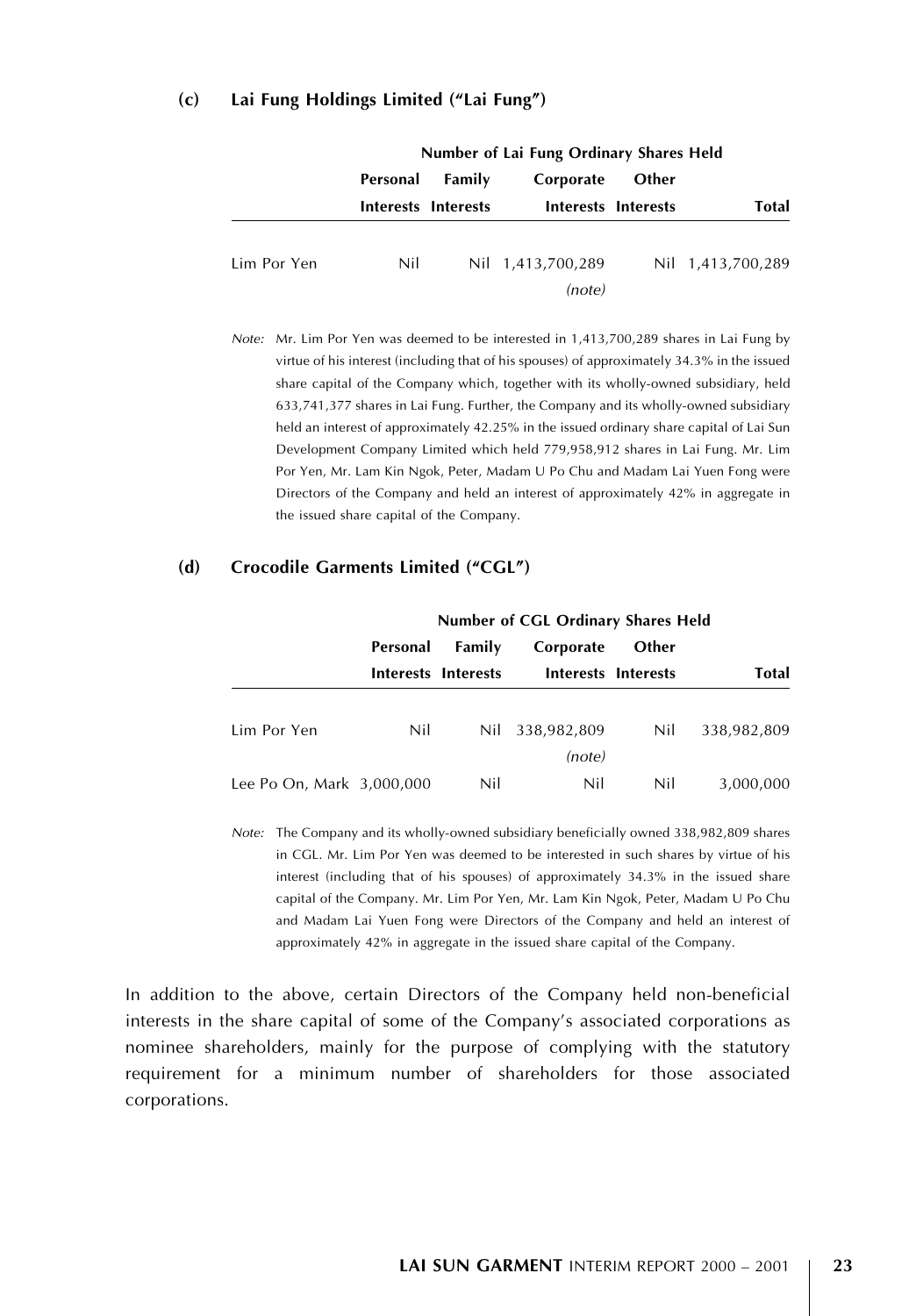#### $(c)$ Lai Fung Holdings Limited ("Lai Fung")

|             | Number of Lai Fung Orginary Shares Held |                     |                             |       |                   |  |
|-------------|-----------------------------------------|---------------------|-----------------------------|-------|-------------------|--|
|             | Personal                                | Family              | Corporate                   | Other |                   |  |
|             |                                         | Interests Interests | Interests Interests         |       | Total             |  |
| Lim Por Yen | Nil                                     |                     | Nil 1,413,700,289<br>(note) |       | Nil 1,413,700,289 |  |

Note: Mr. Lim Por Yen was deemed to be interested in 1,413,700,289 shares in Lai Fung by virtue of his interest (including that of his spouses) of approximately 34.3% in the issued share capital of the Company which, together with its wholly-owned subsidiary, held 633,741,377 shares in Lai Fung. Further, the Company and its wholly-owned subsidiary held an interest of approximately 42.25% in the issued ordinary share capital of Lai Sun Development Company Limited which held 779,958,912 shares in Lai Fung. Mr. Lim Por Yen, Mr. Lam Kin Ngok, Peter, Madam U Po Chu and Madam Lai Yuen Fong were Directors of the Company and held an interest of approximately 42% in aggregate in the issued share capital of the Company.

#### **Crocodile Garments Limited ("CGL")**  $(d)$

|                           | Number of CGL Ordinary Shares Held |                     |                       |                     |              |  |
|---------------------------|------------------------------------|---------------------|-----------------------|---------------------|--------------|--|
|                           | Personal                           | Family<br>Corporate |                       | Other               |              |  |
|                           |                                    | Interests Interests |                       | Interests Interests | <b>Total</b> |  |
| Lim Por Yen               | Nil                                | Nil                 | 338,982,809<br>(note) | Nil                 | 338.982.809  |  |
| Lee Po On, Mark 3,000,000 |                                    | Nil                 | Nil                   | Nil                 | 3,000,000    |  |

Note: The Company and its wholly-owned subsidiary beneficially owned 338,982,809 shares in CGL. Mr. Lim Por Yen was deemed to be interested in such shares by virtue of his interest (including that of his spouses) of approximately 34.3% in the issued share capital of the Company. Mr. Lim Por Yen, Mr. Lam Kin Ngok, Peter, Madam U Po Chu and Madam Lai Yuen Fong were Directors of the Company and held an interest of approximately 42% in aggregate in the issued share capital of the Company.

In addition to the above, certain Directors of the Company held non-beneficial interests in the share capital of some of the Company's associated corporations as nominee shareholders, mainly for the purpose of complying with the statutory requirement for a minimum number of shareholders for those associated corporations.